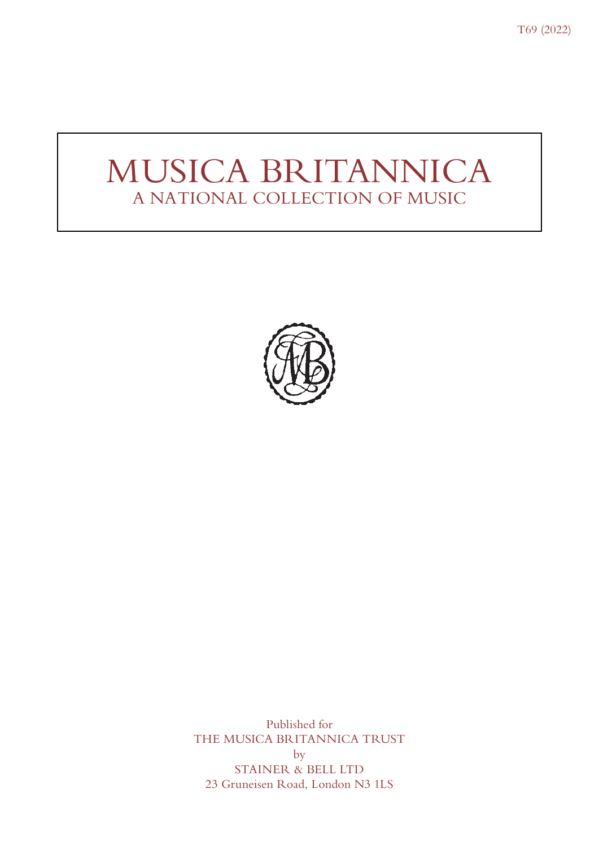T69 (2022)

# MUSICA BRITANNICA A NATIONAL COLLECTION OF MUSIC



Published for THE MUSICA BRITANNICA TRUST by STAINER & BELL LTD 23 Gruneisen Road, London N3 1LS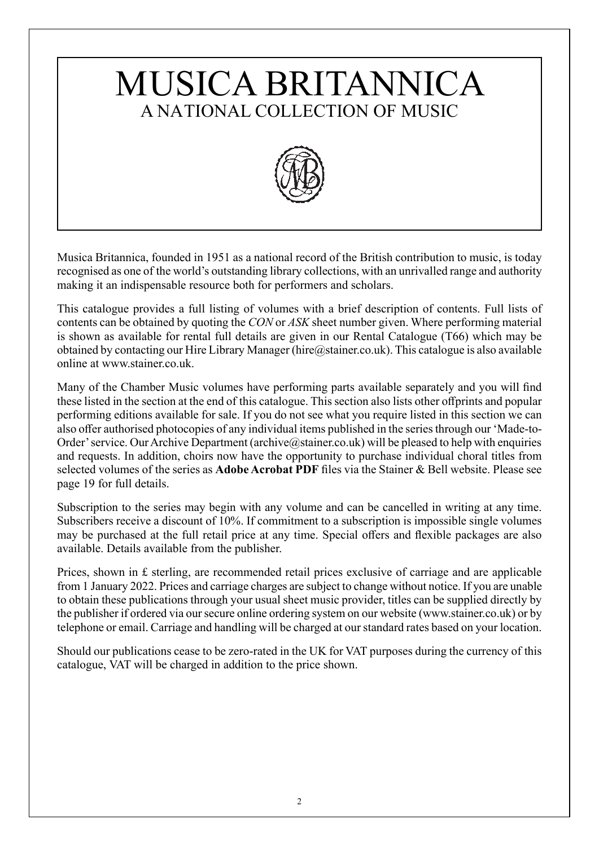# MUSICA BRITANNICA A NATIONAL COLLECTION OF MUSIC



Musica Britannica, founded in 1951 as a national record of the British contribution to music, is today recognised as one of the world's outstanding library collections, with an unrivalled range and authority making it an indispensable resource both for performers and scholars.

This catalogue provides a full listing of volumes with a brief description of contents. Full lists of contents can be obtained by quoting the *CON* or *ASK* sheet number given. Where performing material is shown as available for rental full details are given in our Rental Catalogue (T66) which may be obtained by contacting our Hire Library Manager (hire  $@$ stainer.co.uk). This catalogue is also available online at www.stainer.co.uk.

Many of the Chamber Music volumes have performing parts available separately and you will find these listed in the section at the end of this catalogue. This section also lists other offprints and popular performing editions available for sale. If you do not see what you require listed in this section we can also offer authorised photocopies of any individual items published in the series through our 'Made-to-Order' service. Our Archive Department (archive@stainer.co.uk) will be pleased to help with enquiries and requests. In addition, choirs now have the opportunity to purchase individual choral titles from selected volumes of the series as **Adobe Acrobat PDF** files via the Stainer & Bell website. Please see page 19 for full details.

Subscription to the series may begin with any volume and can be cancelled in writing at any time. Subscribers receive a discount of 10%. If commitment to a subscription is impossible single volumes may be purchased at the full retail price at any time. Special offers and flexible packages are also available. Details available from the publisher.

Prices, shown in £ sterling, are recommended retail prices exclusive of carriage and are applicable from 1 January 2022. Prices and carriage charges are subject to change without notice. If you are unable to obtain these publications through your usual sheet music provider, titles can be supplied directly by the publisher if ordered via our secure online ordering system on our website (www.stainer.co.uk) or by telephone or email. Carriage and handling will be charged at our standard rates based on your location.

Should our publications cease to be zero-rated in the UK for VAT purposes during the currency of this catalogue, VAT will be charged in addition to the price shown.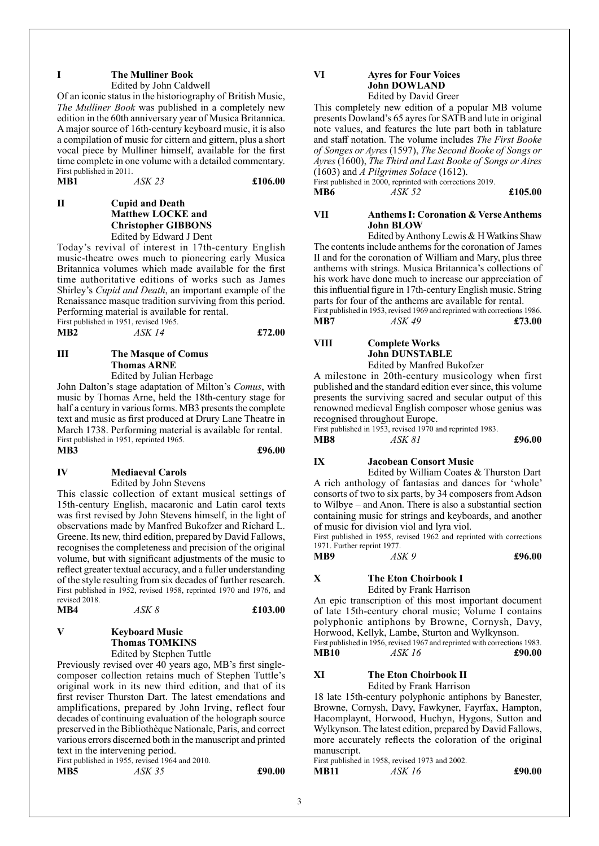#### **I The Mulliner Book**

Edited by John Caldwell

Of an iconic status in the historiography of British Music, *The Mulliner Book* was published in a completely new edition in the 60th anniversary year of Musica Britannica. A major source of 16th-century keyboard music, it is also a compilation of music for cittern and gittern, plus a short vocal piece by Mulliner himself, available for the first time complete in one volume with a detailed commentary. First published in 2011. **MB1** *ASK 23* **£106.00**

**II Cupid and Death Matthew LOCKE and Christopher GIBBONS** Edited by Edward J Dent

Today's revival of interest in 17th-century English music-theatre owes much to pioneering early Musica Britannica volumes which made available for the first time authoritative editions of works such as James Shirley's *Cupid and Death*, an important example of the Renaissance masque tradition surviving from this period. Performing material is available for rental.

First published in 1951, revised 1965. **MB2** *ASK 14* **£72.00**

#### **III The Masque of Comus Thomas ARNE** Edited by Julian Herbage

John Dalton's stage adaptation of Milton's *Comus*, with music by Thomas Arne, held the 18th-century stage for half a century in various forms. MB3 presents the complete text and music as first produced at Drury Lane Theatre in March 1738. Performing material is available for rental. First published in 1951, reprinted 1965.

#### **MB3 £96.00**

#### **IV Mediaeval Carols**

Edited by John Stevens

This classic collection of extant musical settings of 15th-century English, macaronic and Latin carol texts was first revised by John Stevens himself, in the light of observations made by Manfred Bukofzer and Richard L. Greene. Its new, third edition, prepared by David Fallows, recognises the completeness and precision of the original volume, but with significant adjustments of the music to reflect greater textual accuracy, and a fuller understanding of the style resulting from six decades of further research. First published in 1952, revised 1958, reprinted 1970 and 1976, and revised 2018.<br>MB4

| MB4 | ASK 8 | £103.00 |
|-----|-------|---------|
|     |       |         |

#### **V Keyboard Music Thomas TOMKINS** Edited by Stephen Tuttle

Previously revised over 40 years ago, MB's first singlecomposer collection retains much of Stephen Tuttle's original work in its new third edition, and that of its first reviser Thurston Dart. The latest emendations and amplifications, prepared by John Irving, reflect four decades of continuing evaluation of the holograph source preserved in the Bibliothèque Nationale, Paris, and correct various errors discerned both in the manuscript and printed text in the intervening period.

First published in 1955, revised 1964 and 2010. **MB5** *ASK 35* **£90.00**

### **VI Ayres for Four Voices John DOWLAND**

Edited by David Greer This completely new edition of a popular MB volume presents Dowland's 65 ayres for SATB and lute in original note values, and features the lute part both in tablature and staff notation. The volume includes *The First Booke of Songes or Ayres* (1597), *The Second Booke of Songs or Ayres* (1600), *The Third and Last Booke of Songs or Aires*

(1603) and *A Pilgrimes Solace* (1612). First published in 2000, reprinted with corrections 2019.

**MB6** *ASK 52* **£105.00**

#### **VII Anthems I: Coronation & Verse Anthems John BLOW**

Edited by Anthony Lewis & H Watkins Shaw The contents include anthems for the coronation of James II and for the coronation of William and Mary, plus three anthems with strings. Musica Britannica's collections of his work have done much to increase our appreciation of this influential figure in 17th-century English music. String parts for four of the anthems are available for rental. First published in 1953, revised 1969 and reprinted with corrections 1986.

**MB7** *ASK 49* **£73.00**

#### **VIII Complete Works John DUNSTABLE**

Edited by Manfred Bukofzer

A milestone in 20th-century musicology when first published and the standard edition ever since, this volume presents the surviving sacred and secular output of this renowned medieval English composer whose genius was recognised throughout Europe.

First published in 1953, revised 1970 and reprinted 1983.

| MB8 | ASK 81 | £96.00 |
|-----|--------|--------|
|     |        |        |

#### **IX Jacobean Consort Music**

Edited by William Coates & Thurston Dart A rich anthology of fantasias and dances for 'whole' consorts of two to six parts, by 34 composers from Adson to Wilbye – and Anon. There is also a substantial section containing music for strings and keyboards, and another of music for division viol and lyra viol.

First published in 1955, revised 1962 and reprinted with corrections 1971. Further reprint 1977.

| MB9 | ASK 9 | £96.00 |
|-----|-------|--------|
|     |       |        |

### **X The Eton Choirbook I**

Edited by Frank Harrison An epic transcription of this most important document

of late 15th-century choral music; Volume I contains polyphonic antiphons by Browne, Cornysh, Davy, Horwood, Kellyk, Lambe, Sturton and Wylkynson. First published in 1956, revised 1967 and reprinted with corrections 1983. **MB10** *ASK 16* **£90.00**

**XI The Eton Choirbook II**

Edited by Frank Harrison 18 late 15th-century polyphonic antiphons by Banester, Browne, Cornysh, Davy, Fawkyner, Fayrfax, Hampton, Hacomplaynt, Horwood, Huchyn, Hygons, Sutton and Wylkynson. The latest edition, prepared by David Fallows, more accurately reflects the coloration of the original manuscript.

First published in 1958, revised 1973 and 2002. **MB11** *ASK 16* **£90.00**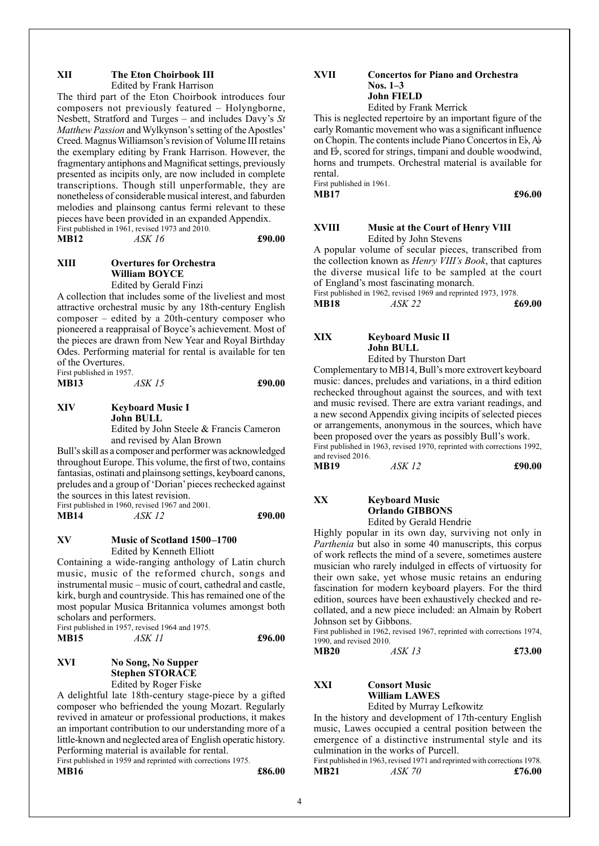#### **XII The Eton Choirbook III**

Edited by Frank Harrison

The third part of the Eton Choirbook introduces four composers not previously featured – Holyngborne, Nesbett, Stratford and Turges – and includes Davy's *St Matthew Passion* and Wylkynson's setting of the Apostles' Creed. Magnus Williamson's revision of Volume III retains the exemplary editing by Frank Harrison. However, the fragmentary antiphons and Magnificat settings, previously presented as incipits only, are now included in complete transcriptions. Though still unperformable, they are nonetheless of considerable musical interest, and faburden melodies and plainsong cantus fermi relevant to these pieces have been provided in an expanded Appendix. First published in 1961, revised 1973 and 2010. **MB12** *ASK 16* **£90.00**

#### **XIII Overtures for Orchestra William BOYCE**

Edited by Gerald Finzi

A collection that includes some of the liveliest and most attractive orchestral music by any 18th-century English composer – edited by a 20th-century composer who pioneered a reappraisal of Boyce's achievement. Most of the pieces are drawn from New Year and Royal Birthday Odes. Performing material for rental is available for ten of the Overtures. First published in 1957.

**MB13** *ASK 15* **£90.00**

**XIV Keyboard Music I John BULL** Edited by John Steele & Francis Cameron and revised by Alan Brown

Bull's skill as a composer and performer was acknowledged throughout Europe. This volume, the first of two, contains fantasias, ostinati and plainsong settings, keyboard canons, preludes and a group of 'Dorian' pieces rechecked against the sources in this latest revision.

First published in 1960, revised 1967 and 2001. **MB14** *ASK 12* **£90.00**

#### **XV Music of Scotland 1500–1700** Edited by Kenneth Elliott

Containing a wide-ranging anthology of Latin church music, music of the reformed church, songs and instrumental music – music of court, cathedral and castle, kirk, burgh and countryside. This has remained one of the most popular Musica Britannica volumes amongst both scholars and performers.

First published in 1957, revised 1964 and 1975. **MB15** *ASK 11* **£96.00**

#### **XVI No Song, No Supper Stephen STORACE**

Edited by Roger Fiske

A delightful late 18th-century stage-piece by a gifted composer who befriended the young Mozart. Regularly revived in amateur or professional productions, it makes an important contribution to our understanding more of a little-known and neglected area of English operatic history. Performing material is available for rental.

First published in 1959 and reprinted with corrections 1975.

**MB16 £86.00**

#### **XVII Concertos for Piano and Orchestra Nos. 1–3 John FIELD**

Edited by Frank Merrick

This is neglected repertoire by an important figure of the early Romantic movement who was a significant influence on Chopin. The contents include Piano Concertos in  $E_{\rm b}$ , A $\bar{b}$ and  $E<sub>b</sub>$ , scored for strings, timpani and double woodwind, horns and trumpets. Orchestral material is available for rental.

First published in 1961.

**MB17 £96.00** 

#### **XVIII Music at the Court of Henry VIII** Edited by John Stevens

A popular volume of secular pieces, transcribed from the collection known as *Henry VIII's Book*, that captures the diverse musical life to be sampled at the court of England's most fascinating monarch.

First published in 1962, revised 1969 and reprinted 1973, 1978.<br>MB18  $\overline{ASK}$  22  $\overline{£69.00}$ **MB18** *ASK 22* 

### **XIX Keyboard Music II John BULL**

Edited by Thurston Dart

Complementary to MB14, Bull's more extrovert keyboard music: dances, preludes and variations, in a third edition rechecked throughout against the sources, and with text and music revised. There are extra variant readings, and a new second Appendix giving incipits of selected pieces or arrangements, anonymous in the sources, which have been proposed over the years as possibly Bull's work. First published in 1963, revised 1970, reprinted with corrections 1992, and revised 2016.

| MB19 | ASK 12 | £90.00 |
|------|--------|--------|
|      |        |        |

#### **XX Keyboard Music Orlando GIBBONS** Edited by Gerald Hendrie

Highly popular in its own day, surviving not only in *Parthenia* but also in some 40 manuscripts, this corpus of work reflects the mind of a severe, sometimes austere musician who rarely indulged in effects of virtuosity for their own sake, yet whose music retains an enduring fascination for modern keyboard players. For the third edition, sources have been exhaustively checked and recollated, and a new piece included: an Almain by Robert Johnson set by Gibbons.

First published in 1962, revised 1967, reprinted with corrections 1974, 1990, and revised 2010.

**MB20** *ASK 13* **£73.00**

#### **XXI Consort Music William LAWES** Edited by Murray Lefkowitz

In the history and development of 17th-century English music, Lawes occupied a central position between the emergence of a distinctive instrumental style and its culmination in the works of Purcell.

First published in 1963, revised 1971 and reprinted with corrections 1978. **MB21** *ASK 70* **£76.00**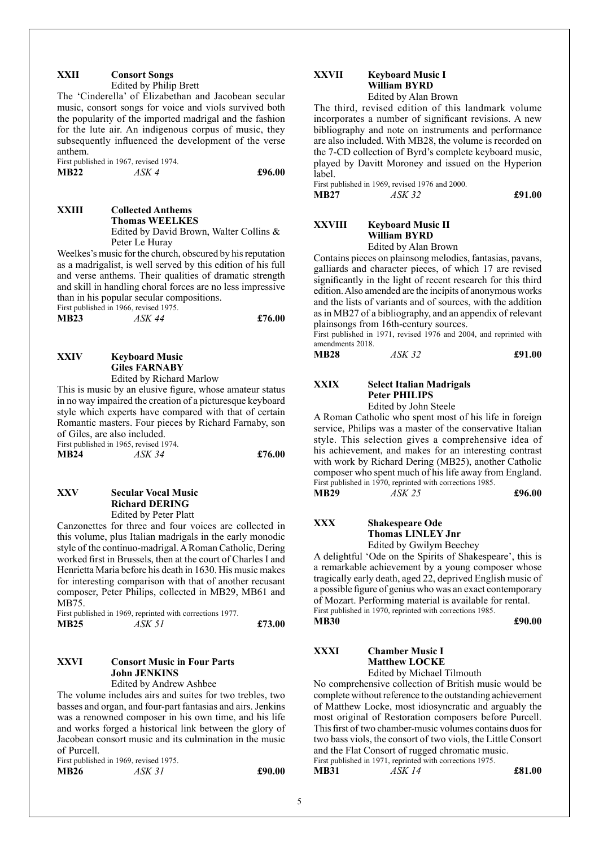#### **XXII Consort Songs** Edited by Philip Brett

The 'Cinderella' of Elizabethan and Jacobean secular music, consort songs for voice and viols survived both the popularity of the imported madrigal and the fashion for the lute air. An indigenous corpus of music, they subsequently influenced the development of the verse anthem.

First published in 1967, revised 1974.<br>MB22  $\overline{ASK}$  4 **MB22** *ASK 4* **£96.00**

**XXIII Collected Anthems Thomas WEELKES** Edited by David Brown, Walter Collins & Peter Le Huray

Weelkes's music for the church, obscured by his reputation as a madrigalist, is well served by this edition of his full and verse anthems. Their qualities of dramatic strength and skill in handling choral forces are no less impressive than in his popular secular compositions.

First published in 1966, revised 1975.

| <b>MB23</b> | ASK 44 | £76.00 |
|-------------|--------|--------|
|             |        |        |

**XXIV Keyboard Music Giles FARNABY** Edited by Richard Marlow

This is music by an elusive figure, whose amateur status in no way impaired the creation of a picturesque keyboard style which experts have compared with that of certain Romantic masters. Four pieces by Richard Farnaby, son of Giles, are also included.

First published in 1965, revised 1974. **MB24** *ASK 34* **£76.00**

#### **XXV Secular Vocal Music Richard DERING** Edited by Peter Platt

Canzonettes for three and four voices are collected in this volume, plus Italian madrigals in the early monodic style of the continuo-madrigal. A Roman Catholic, Dering worked first in Brussels, then at the court of Charles I and Henrietta Maria before his death in 1630. His music makes for interesting comparison with that of another recusant composer, Peter Philips, collected in MB29, MB61 and MB75.

First published in 1969, reprinted with corrections 1977. **MB25** *ASK 51* **£73.00**

#### **XXVI Consort Music in Four Parts John JENKINS**

Edited by Andrew Ashbee

The volume includes airs and suites for two trebles, two basses and organ, and four-part fantasias and airs. Jenkins was a renowned composer in his own time, and his life and works forged a historical link between the glory of Jacobean consort music and its culmination in the music of Purcell.

First published in 1969, revised 1975. **MB26** *ASK 31* **£90.00**

#### **XXVII Keyboard Music I William BYRD** Edited by Alan Brown

The third, revised edition of this landmark volume incorporates a number of significant revisions. A new bibliography and note on instruments and performance are also included. With MB28, the volume is recorded on the 7-CD collection of Byrd's complete keyboard music, played by Davitt Moroney and issued on the Hyperion label.

First published in 1969, revised 1976 and 2000. **MB27** *ASK 32* **£91.00**

#### **XXVIII Keyboard Music II William BYRD** Edited by Alan Brown

Contains pieces on plainsong melodies, fantasias, pavans, galliards and character pieces, of which 17 are revised significantly in the light of recent research for this third edition. Also amended are the incipits of anonymous works and the lists of variants and of sources, with the addition as in MB27 of a bibliography, and an appendix of relevant plainsongs from 16th-century sources.

First published in 1971, revised 1976 and 2004, and reprinted with amendments 2018.

| <b>MB28</b> | ASK 32 | £91.00 |
|-------------|--------|--------|
|             |        |        |

#### **XXIX Select Italian Madrigals Peter PHILIPS**

Edited by John Steele

A Roman Catholic who spent most of his life in foreign service, Philips was a master of the conservative Italian style. This selection gives a comprehensive idea of his achievement, and makes for an interesting contrast with work by Richard Dering (MB25), another Catholic composer who spent much of his life away from England. First published in 1970, reprinted with corrections 1985. **MB29** *ASK 25* **£96.00**

**XXX Shakespeare Ode Thomas LINLEY Jnr**

Edited by Gwilym Beechey

A delightful 'Ode on the Spirits of Shakespeare', this is a remarkable achievement by a young composer whose tragically early death, aged 22, deprived English music of a possible figure of genius who was an exact contemporary of Mozart. Performing material is available for rental. First published in 1970, reprinted with corrections 1985. **MB30 £90.00**

#### **XXXI Chamber Music I Matthew LOCKE** Edited by Michael Tilmouth

No comprehensive collection of British music would be complete without reference to the outstanding achievement of Matthew Locke, most idiosyncratic and arguably the most original of Restoration composers before Purcell. This first of two chamber-music volumes contains duos for two bass viols, the consort of two viols, the Little Consort and the Flat Consort of rugged chromatic music. First published in 1971, reprinted with corrections 1975.

**MB31** *ASK 14* **£81.00**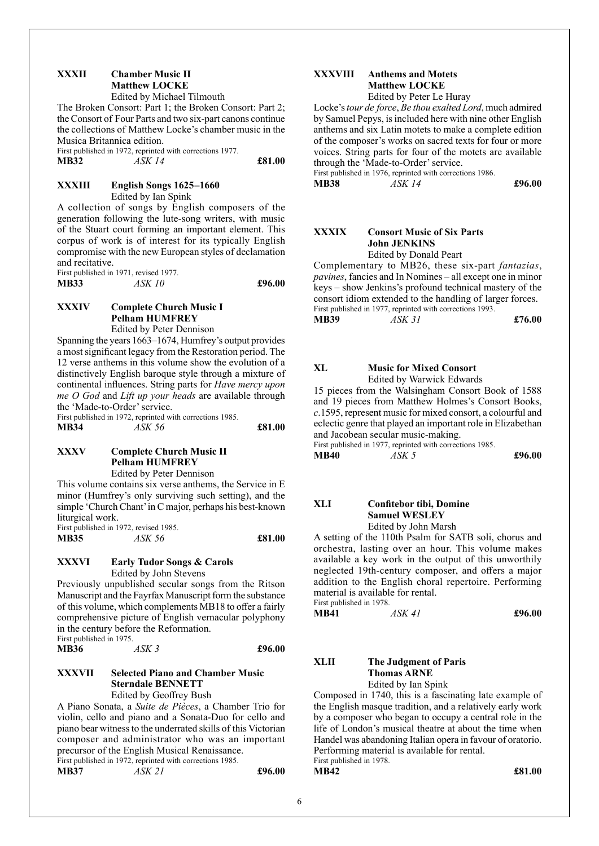#### **XXXII Chamber Music II Matthew LOCKE** Edited by Michael Tilmouth

The Broken Consort: Part 1; the Broken Consort: Part 2; the Consort of Four Parts and two six-part canons continue the collections of Matthew Locke's chamber music in the Musica Britannica edition.

First published in 1972, reprinted with corrections 1977. **MB32** *ASK 14* **£81.00**

#### **XXXIII English Songs 1625–1660** Edited by Ian Spink

A collection of songs by English composers of the generation following the lute-song writers, with music of the Stuart court forming an important element. This corpus of work is of interest for its typically English compromise with the new European styles of declamation and recitative.

First published in 1971, revised 1977.<br>MB33  $\overline{ASK10}$ **MB33** *ASK 10* **£96.00**

#### **XXXIV Complete Church Music I Pelham HUMFREY**

Edited by Peter Dennison

Spanning the years 1663–1674, Humfrey's output provides a most significant legacy from the Restoration period. The 12 verse anthems in this volume show the evolution of a distinctively English baroque style through a mixture of continental influences. String parts for *Have mercy upon me O God* and *Lift up your heads* are available through the 'Made-to-Order' service.

First published in 1972, reprinted with corrections 1985. **MB34** *ASK 56* **£81.00**

#### **XXXV Complete Church Music II Pelham HUMFREY**

Edited by Peter Dennison

This volume contains six verse anthems, the Service in E minor (Humfrey's only surviving such setting), and the simple 'Church Chant' in C major, perhaps his best-known liturgical work.

|      | First published in 1972, revised 1985. |        |
|------|----------------------------------------|--------|
| MB35 | ASK 56                                 | £81.00 |

#### **XXXVI Early Tudor Songs & Carols** Edited by John Stevens

Previously unpublished secular songs from the Ritson Manuscript and the Fayrfax Manuscript form the substance of this volume, which complements MB18 to offer a fairly comprehensive picture of English vernacular polyphony in the century before the Reformation. First published in 1975.

| <b>MB36</b> | ASK 3 | £96.00 |
|-------------|-------|--------|
|             |       |        |

#### **XXXVII Selected Piano and Chamber Music Sterndale BENNETT** Edited by Geoffrey Bush

A Piano Sonata, a *Suite de Pièces*, a Chamber Trio for violin, cello and piano and a Sonata-Duo for cello and piano bear witness to the underrated skills of this Victorian composer and administrator who was an important precursor of the English Musical Renaissance. First published in 1972, reprinted with corrections 1985.

**MB37** *ASK 21* **£96.00**

#### **XXXVIII Anthems and Motets Matthew LOCKE** Edited by Peter Le Huray

Locke's *tour de force*, *Be thou exalted Lord*, much admired by Samuel Pepys, is included here with nine other English anthems and six Latin motets to make a complete edition of the composer's works on sacred texts for four or more voices. String parts for four of the motets are available through the 'Made-to-Order' service.

First published in 1976, reprinted with corrections 1986.

**MB38** *ASK 14* **£96.00**

#### **XXXIX Consort Music of Six Parts John JENKINS** Edited by Donald Peart

Complementary to MB26, these six-part *fantazias*, *pavines*, fancies and In Nomines – all except one in minor keys – show Jenkins's profound technical mastery of the consort idiom extended to the handling of larger forces. First published in 1977, reprinted with corrections 1993. **MB39** *ASK 31* **£76.00**

#### **XL Music for Mixed Consort**

Edited by Warwick Edwards

15 pieces from the Walsingham Consort Book of 1588 and 19 pieces from Matthew Holmes's Consort Books, *c*.1595, represent music for mixed consort, a colourful and eclectic genre that played an important role in Elizabethan and Jacobean secular music-making.

First published in 1977, reprinted with corrections 1985. **MB40** *ASK 5* **£96.00**

A setting of the 110th Psalm for SATB soli, chorus and orchestra, lasting over an hour. This volume makes available a key work in the output of this unworthily neglected 19th-century composer, and offers a major addition to the English choral repertoire. Performing material is available for rental.

First published in 1978.<br>MR41  $\overline{AKA1}$ **MB41** *ASK 41* **£96.00**

#### **XLII The Judgment of Paris Thomas ARNE**

Edited by Ian Spink

Composed in 1740, this is a fascinating late example of the English masque tradition, and a relatively early work by a composer who began to occupy a central role in the life of London's musical theatre at about the time when Handel was abandoning Italian opera in favour of oratorio. Performing material is available for rental. First published in 1978.

**MB42 £81.00** 

**XLI Confitebor tibi, Domine Samuel WESLEY** Edited by John Marsh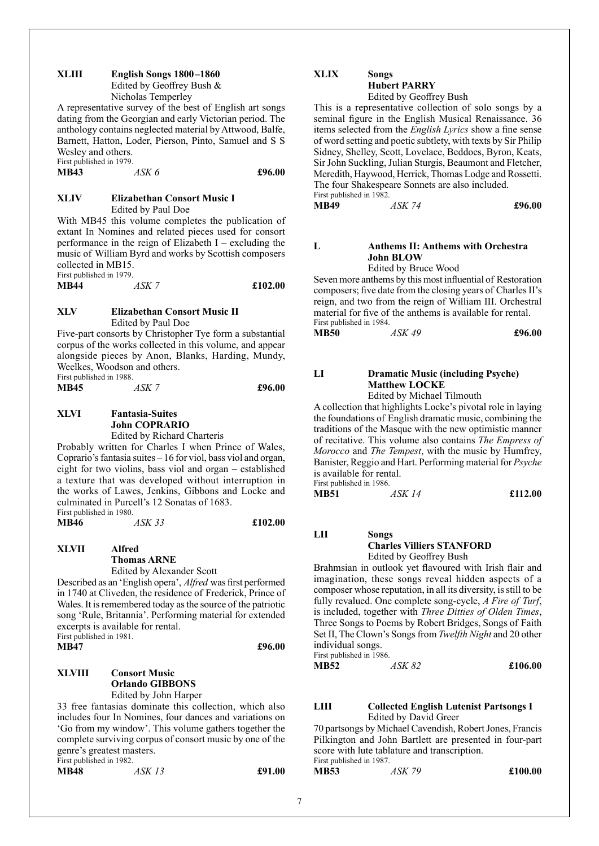#### **XLIII English Songs 1800–1860**

Edited by Geoffrey Bush & Nicholas Temperley

A representative survey of the best of English art songs dating from the Georgian and early Victorian period. The anthology contains neglected material by Attwood, Balfe, Barnett, Hatton, Loder, Pierson, Pinto, Samuel and S S Wesley and others.

First published in 1979.<br>MB43  $\overline{ASK}$  6

**MB43** *ASK 6* **£96.00**

**MB46** *ASK 33* **£102.00**

#### **XLIV Elizabethan Consort Music I** Edited by Paul Doe

With MB45 this volume completes the publication of extant In Nomines and related pieces used for consort performance in the reign of Elizabeth  $I -$  excluding the music of William Byrd and works by Scottish composers collected in MB15. First published in 1979.

| ----- <i>-</i> ------- <i>----</i> |       |         |
|------------------------------------|-------|---------|
| <b>MB44</b>                        | ASK 7 | £102.00 |
|                                    |       |         |

#### **XLV Elizabethan Consort Music II** Edited by Paul Doe

Five-part consorts by Christopher Tye form a substantial corpus of the works collected in this volume, and appear alongside pieces by Anon, Blanks, Harding, Mundy, Weelkes, Woodson and others. First published in 1988.

**MB45** *ASK 7* **£96.00**

#### **XLVI Fantasia-Suites John COPRARIO**

Edited by Richard Charteris

Probably written for Charles I when Prince of Wales, Coprario's fantasia suites  $-16$  for viol, bass viol and organ, eight for two violins, bass viol and organ – established a texture that was developed without interruption in the works of Lawes, Jenkins, Gibbons and Locke and culminated in Purcell's 12 Sonatas of 1683. First published in 1980.<br>MB46  $\overline{ASK}$  33

**XLVII Alfred Thomas ARNE** Edited by Alexander Scott

Described as an 'English opera', *Alfred* was first performed in 1740 at Cliveden, the residence of Frederick, Prince of Wales. It is remembered today as the source of the patriotic song 'Rule, Britannia'. Performing material for extended excerpts is available for rental.

First published in 1981.<br>MB47 **MB47 £96.00**

#### **XLVIII Consort Music Orlando GIBBONS** Edited by John Harper

33 free fantasias dominate this collection, which also includes four In Nomines, four dances and variations on 'Go from my window'. This volume gathers together the complete surviving corpus of consort music by one of the genre's greatest masters. First published in 1982.

| <b>MB48</b> | ASK 13 | £91.00 |
|-------------|--------|--------|
|             |        |        |

#### **XLIX Songs Hubert PARRY**

Edited by Geoffrey Bush

This is a representative collection of solo songs by a seminal figure in the English Musical Renaissance. 36 items selected from the *English Lyrics* show a fine sense of word setting and poetic subtlety, with texts by Sir Philip Sidney, Shelley, Scott, Lovelace, Beddoes, Byron, Keats, Sir John Suckling, Julian Sturgis, Beaumont and Fletcher, Meredith, Haywood, Herrick, Thomas Lodge and Rossetti. The four Shakespeare Sonnets are also included. First published in 1982.

**MB49** *ASK 74* **£96.00**

#### **L Anthems II: Anthems with Orchestra John BLOW**

Edited by Bruce Wood

Seven more anthems by this most influential of Restoration composers; five date from the closing years of Charles II's reign, and two from the reign of William III. Orchestral material for five of the anthems is available for rental. First published in 1984.

**MB50** *ASK 49* **£96.00**

#### **LI Dramatic Music (including Psyche) Matthew LOCKE**

Edited by Michael Tilmouth

A collection that highlights Locke's pivotal role in laying the foundations of English dramatic music, combining the traditions of the Masque with the new optimistic manner of recitative. This volume also contains *The Empress of Morocco* and *The Tempest*, with the music by Humfrey, Banister, Reggio and Hart. Performing material for *Psyche* is available for rental. First published in 1986.

| 1 not pacifica in 1,000 |        |         |
|-------------------------|--------|---------|
| MB51                    | ASK 14 | £112.00 |

**LII Songs Charles Villiers STANFORD** Edited by Geoffrey Bush

Brahmsian in outlook yet flavoured with Irish flair and imagination, these songs reveal hidden aspects of a composer whose reputation, in all its diversity, is still to be fully revalued. One complete song-cycle, *A Fire of Turf*, is included, together with *Three Ditties of Olden Times*, Three Songs to Poems by Robert Bridges, Songs of Faith Set II, The Clown's Songs from *Twelfth Night* and 20 other individual songs. First published in 1986.

**MB52** *ASK 82* **£106.00**

#### **LIII Collected English Lutenist Partsongs I** Edited by David Greer

70 partsongs by Michael Cavendish, Robert Jones, Francis Pilkington and John Bartlett are presented in four-part score with lute tablature and transcription. First published in 1987.

| $1 \text{ m}$ is published in 1907. |        |         |
|-------------------------------------|--------|---------|
| MB53                                | ASK 79 | £100.00 |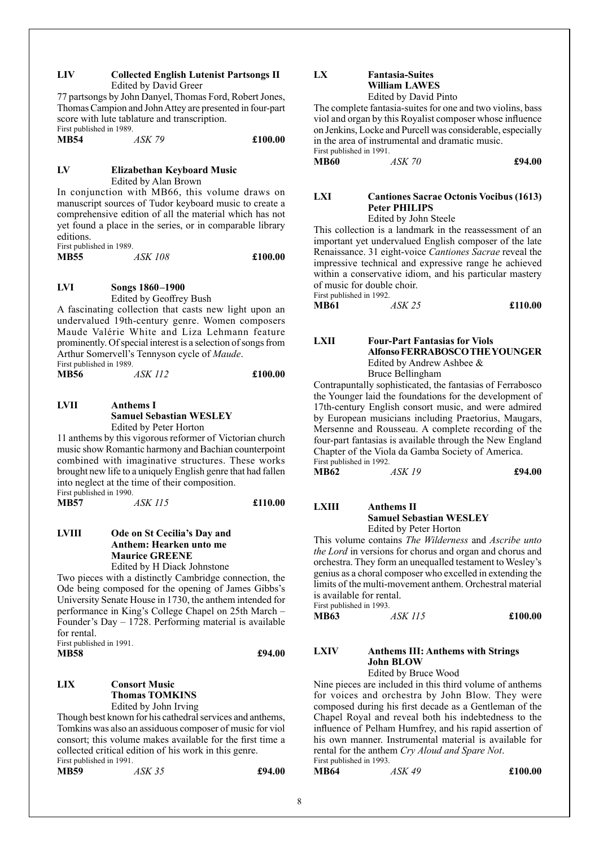#### **LIV Collected English Lutenist Partsongs II** Edited by David Greer

77 partsongs by John Danyel, Thomas Ford, Robert Jones, Thomas Campion and John Attey are presented in four-part score with lute tablature and transcription. First published in 1989.

| <b>MB54</b> | ASK 79 | £100.00 |
|-------------|--------|---------|
|             |        |         |

#### **LV Elizabethan Keyboard Music** Edited by Alan Brown

In conjunction with MB66, this volume draws on manuscript sources of Tudor keyboard music to create a comprehensive edition of all the material which has not yet found a place in the series, or in comparable library editions. First published in 1989.

**MB55** *ASK 108* **£100.00**

#### **LVI Songs 1860–1900**

Edited by Geoffrey Bush

A fascinating collection that casts new light upon an undervalued 19th-century genre. Women composers Maude Valérie White and Liza Lehmann feature prominently. Of special interest is a selection of songs from Arthur Somervell's Tennyson cycle of *Maude*. First published in 1989.

| <b>MB56</b> | ASK 112 | £100.00 |
|-------------|---------|---------|
|             |         |         |

#### **LVII Anthems I Samuel Sebastian WESLEY** Edited by Peter Horton

11 anthems by this vigorous reformer of Victorian church music show Romantic harmony and Bachian counterpoint combined with imaginative structures. These works brought new life to a uniquely English genre that had fallen into neglect at the time of their composition. First published in 1990.

**MB57** *ASK 115* **£110.00**

#### **LVIII Ode on St Cecilia's Day and Anthem: Hearken unto me Maurice GREENE**

Edited by H Diack Johnstone

Two pieces with a distinctly Cambridge connection, the Ode being composed for the opening of James Gibbs's University Senate House in 1730, the anthem intended for performance in King's College Chapel on 25th March – Founder's Day – 1728. Performing material is available for rental. First published in 1991.

**MB58 £94.00**

#### **LIX Consort Music Thomas TOMKINS**

Edited by John Irving

Though best known for his cathedral services and anthems, Tomkins was also an assiduous composer of music for viol consort; this volume makes available for the first time a collected critical edition of his work in this genre. First published in 1991.

| <b>MB59</b> | ASK 35 | £94.00 |
|-------------|--------|--------|
|             |        |        |

### **LX Fantasia-Suites William LAWES**

Edited by David Pinto

The complete fantasia-suites for one and two violins, bass viol and organ by this Royalist composer whose influence on Jenkins, Locke and Purcell was considerable, especially in the area of instrumental and dramatic music. First published in 1991.

**MB60** *ASK 70* **£94.00**

### **LXI Cantiones Sacrae Octonis Vocibus (1613) Peter PHILIPS**

Edited by John Steele

This collection is a landmark in the reassessment of an important yet undervalued English composer of the late Renaissance. 31 eight-voice *Cantiones Sacrae* reveal the impressive technical and expressive range he achieved within a conservative idiom, and his particular mastery of music for double choir. First published in 1992.

| MB61 | ASK 25 | £110.00 |
|------|--------|---------|
|      |        |         |

#### **LXII Four-Part Fantasias for Viols Alfonso FERRABOSCO THE YOUNGER** Edited by Andrew Ashbee & Bruce Bellingham

Contrapuntally sophisticated, the fantasias of Ferrabosco the Younger laid the foundations for the development of 17th-century English consort music, and were admired by European musicians including Praetorius, Maugars, Mersenne and Rousseau. A complete recording of the four-part fantasias is available through the New England Chapter of the Viola da Gamba Society of America. First published in 1992.

**MB62** *ASK 19* **£94.00**

#### **LXIII Anthems II Samuel Sebastian WESLEY** Edited by Peter Horton

First published in 1993.

This volume contains *The Wilderness* and *Ascribe unto the Lord* in versions for chorus and organ and chorus and orchestra. They form an unequalled testament to Wesley's genius as a choral composer who excelled in extending the limits of the multi-movement anthem. Orchestral material is available for rental.

**MB63** *ASK 115* **£100.00**

#### **LXIV Anthems III: Anthems with Strings John BLOW**

Edited by Bruce Wood

Nine pieces are included in this third volume of anthems for voices and orchestra by John Blow. They were composed during his first decade as a Gentleman of the Chapel Royal and reveal both his indebtedness to the influence of Pelham Humfrey, and his rapid assertion of his own manner. Instrumental material is available for rental for the anthem *Cry Aloud and Spare Not*. First published in 1993.

**MB64** *ASK 49* **£100.00**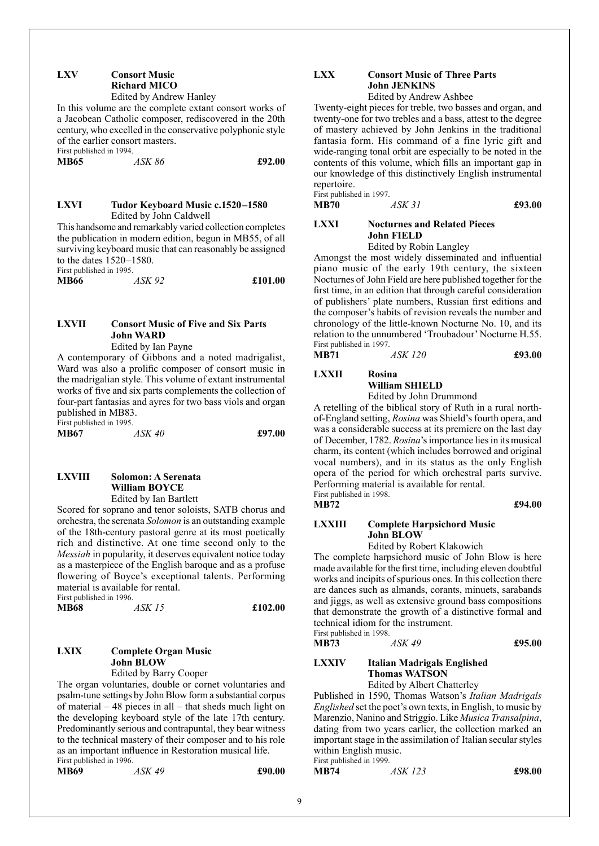#### **LXV Consort Music Richard MICO** Edited by Andrew Hanley

In this volume are the complete extant consort works of a Jacobean Catholic composer, rediscovered in the 20th century, who excelled in the conservative polyphonic style of the earlier consort masters.

First published in 1994.

**MB65** *ASK 86* **£92.00**

#### **LXVI Tudor Keyboard Music c.1520–1580** Edited by John Caldwell

This handsome and remarkably varied collection completes the publication in modern edition, begun in MB55, of all surviving keyboard music that can reasonably be assigned to the dates 1520–1580.

First published in 1995.

| <b>MB66</b> | ASK 92 | £101.00 |
|-------------|--------|---------|
|             |        |         |

#### **LXVII Consort Music of Five and Six Parts John WARD**

Edited by Ian Payne

A contemporary of Gibbons and a noted madrigalist, Ward was also a prolific composer of consort music in the madrigalian style. This volume of extant instrumental works of five and six parts complements the collection of four-part fantasias and ayres for two bass viols and organ published in MB83. First published in 1995.

| $1 \text{ m}$ , published in $1777$ . |        |        |
|---------------------------------------|--------|--------|
| MB67                                  | ASK 40 | £97.00 |

#### **LXVIII Solomon: A Serenata William BOYCE** Edited by Ian Bartlett

Scored for soprano and tenor soloists, SATB chorus and orchestra, the serenata *Solomon* is an outstanding example of the 18th-century pastoral genre at its most poetically rich and distinctive. At one time second only to the *Messiah* in popularity, it deserves equivalent notice today as a masterpiece of the English baroque and as a profuse flowering of Boyce's exceptional talents. Performing material is available for rental. First published in 1996.

| <b>MB68</b> | ASK 15 | £102.00 |
|-------------|--------|---------|
|             |        |         |

### **LXIX Complete Organ Music John BLOW**

Edited by Barry Cooper

The organ voluntaries, double or cornet voluntaries and psalm-tune settings by John Blow form a substantial corpus of material – 48 pieces in all – that sheds much light on the developing keyboard style of the late 17th century. Predominantly serious and contrapuntal, they bear witness to the technical mastery of their composer and to his role as an important influence in Restoration musical life. First published in 1996.

**MB69** *ASK 49* **£90.00**

### **LXX Consort Music of Three Parts John JENKINS**

Edited by Andrew Ashbee

Twenty-eight pieces for treble, two basses and organ, and twenty-one for two trebles and a bass, attest to the degree of mastery achieved by John Jenkins in the traditional fantasia form. His command of a fine lyric gift and wide-ranging tonal orbit are especially to be noted in the contents of this volume, which fills an important gap in our knowledge of this distinctively English instrumental repertoire.

First published in 1997. **MB70** *ASK 31* **£93.00**

#### **LXXI Nocturnes and Related Pieces John FIELD**

Edited by Robin Langley

Amongst the most widely disseminated and influential piano music of the early 19th century, the sixteen Nocturnes of John Field are here published together for the first time, in an edition that through careful consideration of publishers' plate numbers, Russian first editions and the composer's habits of revision reveals the number and chronology of the little-known Nocturne No. 10, and its relation to the unnumbered 'Troubadour' Nocturne H.55. First published in 1997.

**MB71** *ASK 120* **£93.00**

#### **LXXII Rosina William SHIELD**

Edited by John Drummond

A retelling of the biblical story of Ruth in a rural northof-England setting, *Rosina* was Shield's fourth opera, and was a considerable success at its premiere on the last day of December, 1782. *Rosina*'s importance lies in its musical charm, its content (which includes borrowed and original vocal numbers), and in its status as the only English opera of the period for which orchestral parts survive. Performing material is available for rental. First published in 1998.

**MB72 £94.00** 

#### **LXXIII Complete Harpsichord Music John BLOW**

Edited by Robert Klakowich

The complete harpsichord music of John Blow is here made available for the first time, including eleven doubtful works and incipits of spurious ones. In this collection there are dances such as almands, corants, minuets, sarabands and jiggs, as well as extensive ground bass compositions that demonstrate the growth of a distinctive formal and technical idiom for the instrument. First published in 1998.

| MB73 | ASK 49 | £95.00 |
|------|--------|--------|

#### **LXXIV Italian Madrigals Englished Thomas WATSON**

Edited by Albert Chatterley

Published in 1590, Thomas Watson's *Italian Madrigals Englished* set the poet's own texts, in English, to music by Marenzio, Nanino and Striggio. Like *Musica Transalpina*, dating from two years earlier, the collection marked an important stage in the assimilation of Italian secular styles within English music.

First published in 1999.<br>MB74 **MB74** *ASK 123* **£98.00**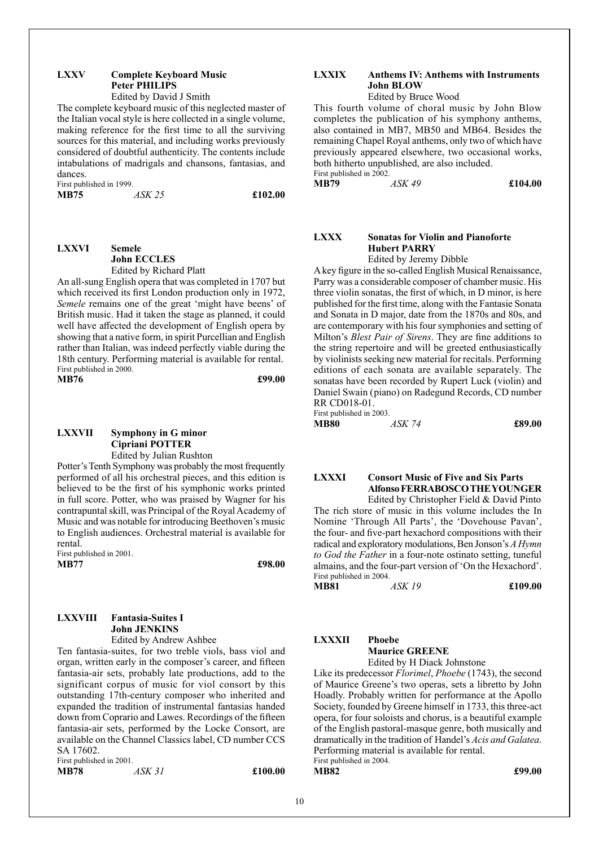#### **LXXV Complete Keyboard Music Peter PHILIPS** Edited by David J Smith

The complete keyboard music of this neglected master of the Italian vocal style is here collected in a single volume, making reference for the first time to all the surviving sources for this material, and including works previously considered of doubtful authenticity. The contents include intabulations of madrigals and chansons, fantasias, and dances.

First published in 1999. **MB75** *ASK 25* **£102.00**

#### **LXXVI Semele John ECCLES** Edited by Richard Platt

An all-sung English opera that was completed in 1707 but which received its first London production only in 1972, *Semele* remains one of the great 'might have beens' of British music. Had it taken the stage as planned, it could well have affected the development of English opera by showing that a native form, in spirit Purcellian and English rather than Italian, was indeed perfectly viable during the 18th century. Performing material is available for rental. First published in 2000. **MB76 £99.00**

### **LXXVII Symphony in G minor Cipriani POTTER**

Edited by Julian Rushton

Potter's Tenth Symphony was probably the most frequently performed of all his orchestral pieces, and this edition is believed to be the first of his symphonic works printed in full score. Potter, who was praised by Wagner for his contrapuntal skill, was Principal of the Royal Academy of Music and was notable for introducing Beethoven's music to English audiences. Orchestral material is available for rental.

First published in 2001. **MB77 £98.00**

#### **LXXVIII Fantasia-Suites I John JENKINS** Edited by Andrew Ashbee

Ten fantasia-suites, for two treble viols, bass viol and organ, written early in the composer's career, and fifteen fantasia-air sets, probably late productions, add to the significant corpus of music for viol consort by this outstanding 17th-century composer who inherited and expanded the tradition of instrumental fantasias handed down from Coprario and Lawes. Recordings of the fifteen fantasia-air sets, performed by the Locke Consort, are available on the Channel Classics label, CD number CCS SA 17602.

First published in 2001.

**MB78** *ASK 31* **£100.00**

#### **LXXIX Anthems IV: Anthems with Instruments John BLOW**

Edited by Bruce Wood

This fourth volume of choral music by John Blow completes the publication of his symphony anthems, also contained in MB7, MB50 and MB64. Besides the remaining Chapel Royal anthems, only two of which have previously appeared elsewhere, two occasional works, both hitherto unpublished, are also included.

First published in 2002.<br>MB79  $ASK49$ 

**MB79** *ASK 49* **£104.00**

#### **LXXX Sonatas for Violin and Pianoforte Hubert PARRY**

Edited by Jeremy Dibble

A key figure in the so-called English Musical Renaissance, Parry was a considerable composer of chamber music. His three violin sonatas, the first of which, in D minor, is here published for the first time, along with the Fantasie Sonata and Sonata in D major, date from the 1870s and 80s, and are contemporary with his four symphonies and setting of Milton's *Blest Pair of Sirens*. They are fine additions to the string repertoire and will be greeted enthusiastically by violinists seeking new material for recitals. Performing editions of each sonata are available separately. The sonatas have been recorded by Rupert Luck (violin) and Daniel Swain (piano) on Radegund Records, CD number RR CD018-01.

| First published in 2003. |        |        |
|--------------------------|--------|--------|
| <b>MB80</b>              | ASK 74 | £89.00 |

**LXXXI Consort Music of Five and Six Parts Alfonso FERRABOSCO THE YOUNGER** Edited by Christopher Field & David Pinto

The rich store of music in this volume includes the In Nomine 'Through All Parts', the 'Dovehouse Pavan', the four- and five-part hexachord compositions with their radical and exploratory modulations, Ben Jonson's *A Hymn to God the Father* in a four-note ostinato setting, tuneful almains, and the four-part version of 'On the Hexachord'. First published in 2004.

**MB81** *ASK 19* **£109.00**

#### **LXXXII Phoebe**

**Maurice GREENE** Edited by H Diack Johnstone

Like its predecessor *Florimel*, *Phoebe* (1743), the second of Maurice Greene's two operas, sets a libretto by John Hoadly. Probably written for performance at the Apollo Society, founded by Greene himself in 1733, this three-act opera, for four soloists and chorus, is a beautiful example of the English pastoral-masque genre, both musically and dramatically in the tradition of Handel's *Acis and Galatea*. Performing material is available for rental. First published in 2004.

**MB82 £99.00**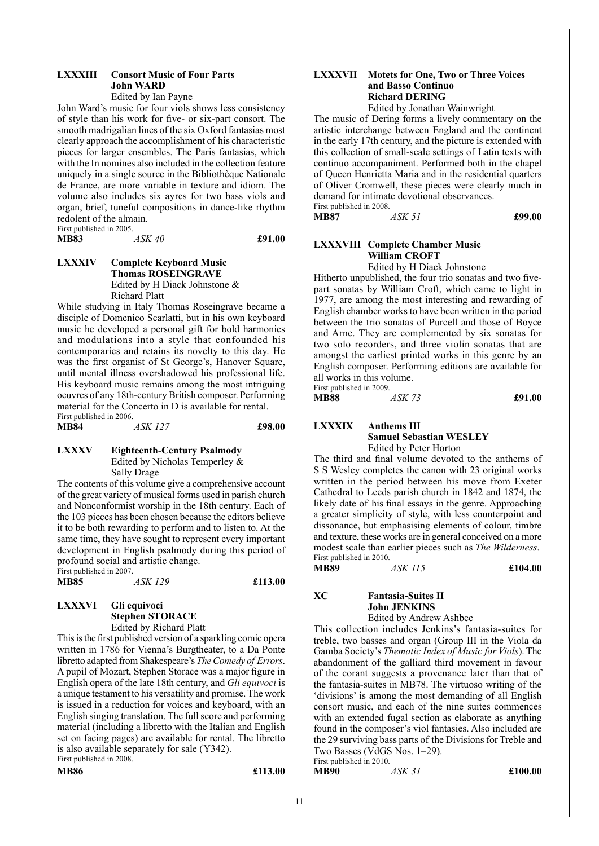#### **LXXXIII Consort Music of Four Parts John WARD**

Edited by Ian Payne

John Ward's music for four viols shows less consistency of style than his work for five- or six-part consort. The smooth madrigalian lines of the six Oxford fantasias most clearly approach the accomplishment of his characteristic pieces for larger ensembles. The Paris fantasias, which with the In nomines also included in the collection feature uniquely in a single source in the Bibliothèque Nationale de France, are more variable in texture and idiom. The volume also includes six ayres for two bass viols and organ, brief, tuneful compositions in dance-like rhythm redolent of the almain. First published in 2005.

**MB83** *ASK 40* **£91.00**

#### **LXXXIV Complete Keyboard Music Thomas ROSEINGRAVE** Edited by H Diack Johnstone & Richard Platt

While studying in Italy Thomas Roseingrave became a disciple of Domenico Scarlatti, but in his own keyboard music he developed a personal gift for bold harmonies and modulations into a style that confounded his contemporaries and retains its novelty to this day. He was the first organist of St George's, Hanover Square, until mental illness overshadowed his professional life. His keyboard music remains among the most intriguing oeuvres of any 18th-century British composer. Performing material for the Concerto in D is available for rental. First published in 2006.

**MB84** *ASK 127* **£98.00**

#### **LXXXV Eighteenth-Century Psalmody**

Edited by Nicholas Temperley & Sally Drage

The contents of this volume give a comprehensive account of the great variety of musical forms used in parish church and Nonconformist worship in the 18th century. Each of the 103 pieces has been chosen because the editors believe it to be both rewarding to perform and to listen to. At the same time, they have sought to represent every important development in English psalmody during this period of profound social and artistic change. First published in 2007.

| <b>MB85</b> | <i>ASK 129</i> | £113.00 |
|-------------|----------------|---------|

#### **LXXXVI Gli equivoci Stephen STORACE** Edited by Richard Platt

This is the first published version of a sparkling comic opera written in 1786 for Vienna's Burgtheater, to a Da Ponte libretto adapted from Shakespeare's *TheComedy of Errors*. A pupil of Mozart, Stephen Storace was a major figure in English opera of the late 18th century, and *Gli equivoci* is a unique testament to his versatility and promise. The work is issued in a reduction for voices and keyboard, with an English singing translation. The full score and performing material (including a libretto with the Italian and English set on facing pages) are available for rental. The libretto is also available separately for sale (Y342). First published in 2008.

```
MB86 £113.00
```
#### **LXXXVII Motets for One, Two or Three Voices and Basso Continuo Richard DERING**

Edited by Jonathan Wainwright

The music of Dering forms a lively commentary on the artistic interchange between England and the continent in the early 17th century, and the picture is extended with this collection of small-scale settings of Latin texts with continuo accompaniment. Performed both in the chapel of Queen Henrietta Maria and in the residential quarters of Oliver Cromwell, these pieces were clearly much in demand for intimate devotional observances. First published in 2008.

**MB87** *ASK 51* **£99.00**

#### **LXXXVIII Complete Chamber Music William CROFT**

Edited by H Diack Johnstone

Hitherto unpublished, the four trio sonatas and two fivepart sonatas by William Croft, which came to light in 1977, are among the most interesting and rewarding of English chamber works to have been written in the period between the trio sonatas of Purcell and those of Boyce and Arne. They are complemented by six sonatas for two solo recorders, and three violin sonatas that are amongst the earliest printed works in this genre by an English composer. Performing editions are available for all works in this volume. First published in 2009.

| <b>MB88</b> | ASK 73 | £91.00 |
|-------------|--------|--------|

**LXXXIX Anthems III Samuel Sebastian WESLEY** Edited by Peter Horton

The third and final volume devoted to the anthems of S S Wesley completes the canon with 23 original works written in the period between his move from Exeter Cathedral to Leeds parish church in 1842 and 1874, the likely date of his final essays in the genre. Approaching a greater simplicity of style, with less counterpoint and dissonance, but emphasising elements of colour, timbre and texture, these works are in general conceived on a more modest scale than earlier pieces such as *The Wilderness*. First published in 2010.

**MB89** *ASK 115* **£104.00**

### **XC Fantasia-Suites II John JENKINS**

Edited by Andrew Ashbee

This collection includes Jenkins's fantasia-suites for treble, two basses and organ (Group III in the Viola da Gamba Society's *Thematic Index of Music for Viols*). The abandonment of the galliard third movement in favour of the corant suggests a provenance later than that of the fantasia-suites in MB78. The virtuoso writing of the 'divisions' is among the most demanding of all English consort music, and each of the nine suites commences with an extended fugal section as elaborate as anything found in the composer's viol fantasies. Also included are the 29 surviving bass parts of the Divisions for Treble and Two Basses (VdGS Nos. 1–29).

First published in 2010.<br>MB90 **MB90** *ASK 31* **£100.00**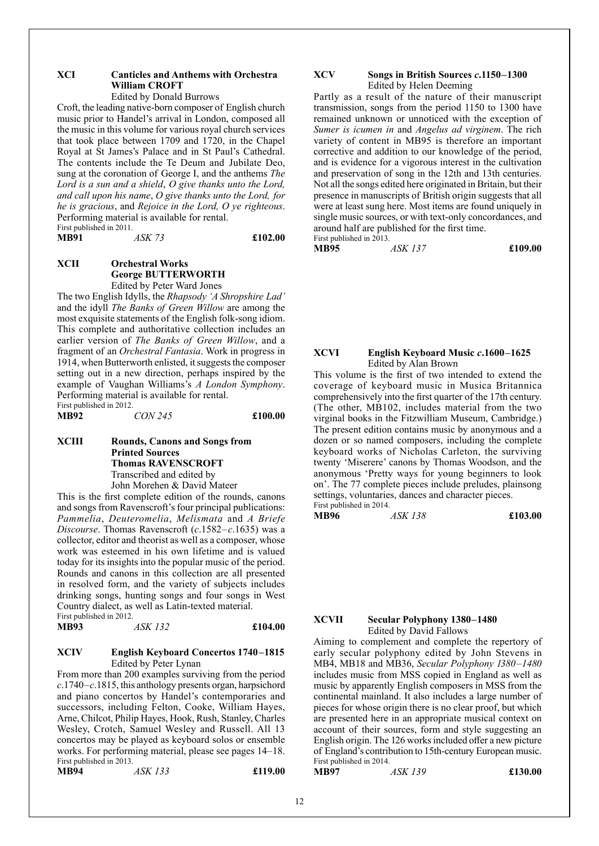#### **XCI Canticles and Anthems with Orchestra William CROFT** Edited by Donald Burrows

Croft, the leading native-born composer of English church music prior to Handel's arrival in London, composed all the music in this volume for various royal church services that took place between 1709 and 1720, in the Chapel Royal at St James's Palace and in St Paul's Cathedral. The contents include the Te Deum and Jubilate Deo, sung at the coronation of George I, and the anthems *The Lord is a sun and a shield*, *O give thanks unto the Lord, and call upon his name*, *O give thanks unto the Lord, for he is gracious*, and *Rejoice in the Lord, O ye righteous*. Performing material is available for rental.

First published in 2011.<br>MB91 *ASK 73* **MB91** *ASK 73* **£102.00**

#### **XCII Orchestral Works George BUTTERWORTH** Edited by Peter Ward Jones

The two English Idylls, the *Rhapsody 'A Shropshire Lad'* and the idyll *The Banks of Green Willow* are among the most exquisite statements of the English folk-song idiom. This complete and authoritative collection includes an earlier version of *The Banks of Green Willow*, and a fragment of an *Orchestral Fantasia*. Work in progress in 1914, when Butterworth enlisted, it suggests the composer setting out in a new direction, perhaps inspired by the example of Vaughan Williams's *A London Symphony*. Performing material is available for rental. First published in 2012.<br>MB92

**MB92** *CON 245* **£100.00**

#### **XCIII Rounds, Canons and Songs from Printed Sources Thomas RAVENSCROFT** Transcribed and edited by

John Morehen & David Mateer

This is the first complete edition of the rounds, canons and songs from Ravenscroft's four principal publications: *Pammelia*, *Deuteromelia*, *Melismata* and *A Briefe Discourse*. Thomas Ravenscroft (*c*.1582–*c*.1635) was a collector, editor and theorist as well as a composer, whose work was esteemed in his own lifetime and is valued today for its insights into the popular music of the period. Rounds and canons in this collection are all presented in resolved form, and the variety of subjects includes drinking songs, hunting songs and four songs in West Country dialect, as well as Latin-texted material. First published in 2012.

**MB93** *ASK 132* **£104.00**

#### **XCIV English Keyboard Concertos 1740–1815**  Edited by Peter Lynan

From more than 200 examples surviving from the period *c*.1740–*c*.1815, this anthology presents organ, harpsichord and piano concertos by Handel's contemporaries and successors, including Felton, Cooke, William Hayes, Arne, Chilcot, Philip Hayes, Hook, Rush, Stanley, Charles Wesley, Crotch, Samuel Wesley and Russell. All 13 concertos may be played as keyboard solos or ensemble works. For performing material, please see pages 14–18. First published in 2013.

**MB94** *ASK 133* **£119.00**

#### **XCV Songs in British Sources** *c***.1150–1300**  Edited by Helen Deeming

Partly as a result of the nature of their manuscript transmission, songs from the period 1150 to 1300 have remained unknown or unnoticed with the exception of *Sumer is icumen in* and *Angelus ad virginem*. The rich variety of content in MB95 is therefore an important corrective and addition to our knowledge of the period, and is evidence for a vigorous interest in the cultivation and preservation of song in the 12th and 13th centuries. Not all the songs edited here originated in Britain, but their presence in manuscripts of British origin suggests that all were at least sung here. Most items are found uniquely in single music sources, or with text-only concordances, and around half are published for the first time. First published in 2013.

**MB95** *ASK 137* **£109.00**

#### **XCVI English Keyboard Music** *c***.1600–1625**  Edited by Alan Brown

This volume is the first of two intended to extend the coverage of keyboard music in Musica Britannica comprehensively into the first quarter of the 17th century. (The other, MB102, includes material from the two virginal books in the Fitzwilliam Museum, Cambridge.) The present edition contains music by anonymous and a dozen or so named composers, including the complete keyboard works of Nicholas Carleton, the surviving twenty 'Miserere' canons by Thomas Woodson, and the anonymous 'Pretty ways for young beginners to look on'. The 77 complete pieces include preludes, plainsong settings, voluntaries, dances and character pieces. First published in 2014.

**MB96** *ASK 138* **£103.00**

#### **XCVII Secular Polyphony 1380–1480**  Edited by David Fallows

Aiming to complement and complete the repertory of early secular polyphony edited by John Stevens in MB4, MB18 and MB36, *Secular Polyphony 1380–1480* includes music from MSS copied in England as well as music by apparently English composers in MSS from the continental mainland. It also includes a large number of pieces for whose origin there is no clear proof, but which are presented here in an appropriate musical context on account of their sources, form and style suggesting an English origin. The 126 works included offer a new picture of England's contribution to 15th-century European music. First published in 2014.

**MB97** *ASK 139* **£130.00**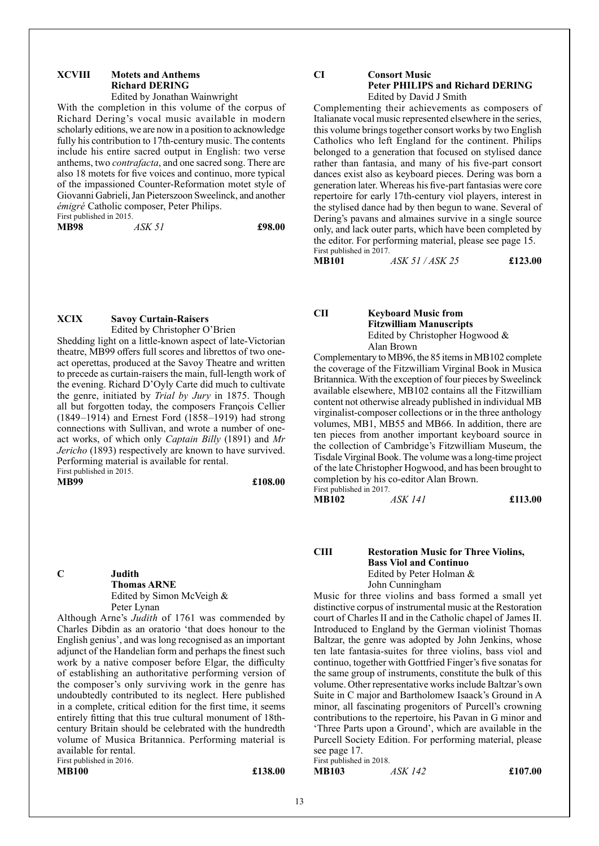#### **XCVIII Motets and Anthems Richard DERING**

#### Edited by Jonathan Wainwright

With the completion in this volume of the corpus of Richard Dering's vocal music available in modern scholarly editions, we are now in a position to acknowledge fully his contribution to 17th-century music. The contents include his entire sacred output in English: two verse anthems, two *contrafacta*, and one sacred song. There are also 18 motets for five voices and continuo, more typical of the impassioned Counter-Reformation motet style of Giovanni Gabrieli, Jan Pieterszoon Sweelinck, and another *émigré* Catholic composer, Peter Philips. First published in 2015.

**MB98** *ASK 51* **£98.00**

#### **XCIX Savoy Curtain-Raisers** Edited by Christopher O'Brien

Shedding light on a little-known aspect of late-Victorian theatre, MB99 offers full scores and librettos of two oneact operettas, produced at the Savoy Theatre and written to precede as curtain-raisers the main, full-length work of the evening. Richard D'Oyly Carte did much to cultivate the genre, initiated by *Trial by Jury* in 1875. Though all but forgotten today, the composers François Cellier (1849–1914) and Ernest Ford (1858–1919) had strong connections with Sullivan, and wrote a number of oneact works, of which only *Captain Billy* (1891) and *Mr Jericho* (1893) respectively are known to have survived. Performing material is available for rental. First published in 2015.

**MB99 £108.00**

#### **C Judith Thomas ARNE** Edited by Simon McVeigh & Peter Lynan

Although Arne's *Judith* of 1761 was commended by Charles Dibdin as an oratorio 'that does honour to the English genius', and was long recognised as an important adjunct of the Handelian form and perhaps the finest such work by a native composer before Elgar, the difficulty of establishing an authoritative performing version of the composer's only surviving work in the genre has undoubtedly contributed to its neglect. Here published in a complete, critical edition for the first time, it seems entirely fitting that this true cultural monument of 18thcentury Britain should be celebrated with the hundredth volume of Musica Britannica. Performing material is available for rental. First published in 2016.

#### **MB100 £138.00**

#### **CI Consort Music Peter PHILIPS and Richard DERING** Edited by David J Smith

Complementing their achievements as composers of Italianate vocal music represented elsewhere in the series, this volume brings together consort works by two English Catholics who left England for the continent. Philips belonged to a generation that focused on stylised dance rather than fantasia, and many of his five-part consort dances exist also as keyboard pieces. Dering was born a generation later. Whereas his five-part fantasias were core repertoire for early 17th-century viol players, interest in the stylised dance had by then begun to wane. Several of Dering's pavans and almaines survive in a single source only, and lack outer parts, which have been completed by the editor. For performing material, please see page 15. First published in 2017.

**MB101** *ASK 51 / ASK 25* **£123.00**

**CII Keyboard Music from Fitzwilliam Manuscripts** Edited by Christopher Hogwood & Alan Brown

Complementary to MB96, the 85 items in MB102 complete the coverage of the Fitzwilliam Virginal Book in Musica Britannica. With the exception of four pieces by Sweelinck available elsewhere, MB102 contains all the Fitzwilliam content not otherwise already published in individual MB virginalist-composer collections or in the three anthology volumes, MB1, MB55 and MB66. In addition, there are ten pieces from another important keyboard source in the collection of Cambridge's Fitzwilliam Museum, the Tisdale Virginal Book. The volume was a long-time project of the late Christopher Hogwood, and has been brought to completion by his co-editor Alan Brown. First published in 2017.

**MB102** *ASK 141* **£113.00**

#### **CIII Restoration Music for Three Violins, Bass Viol and Continuo** Edited by Peter Holman & John Cunningham

Music for three violins and bass formed a small yet distinctive corpus of instrumental music at the Restoration court of Charles II and in the Catholic chapel of James II. Introduced to England by the German violinist Thomas Baltzar, the genre was adopted by John Jenkins, whose ten late fantasia-suites for three violins, bass viol and continuo, together with Gottfried Finger's five sonatas for the same group of instruments, constitute the bulk of this volume. Other representative works include Baltzar's own Suite in C major and Bartholomew Isaack's Ground in A minor, all fascinating progenitors of Purcell's crowning contributions to the repertoire, his Pavan in G minor and 'Three Parts upon a Ground', which are available in the Purcell Society Edition. For performing material, please see page 17.

First published in 2018. **MB103** *ASK 142* **£107.00**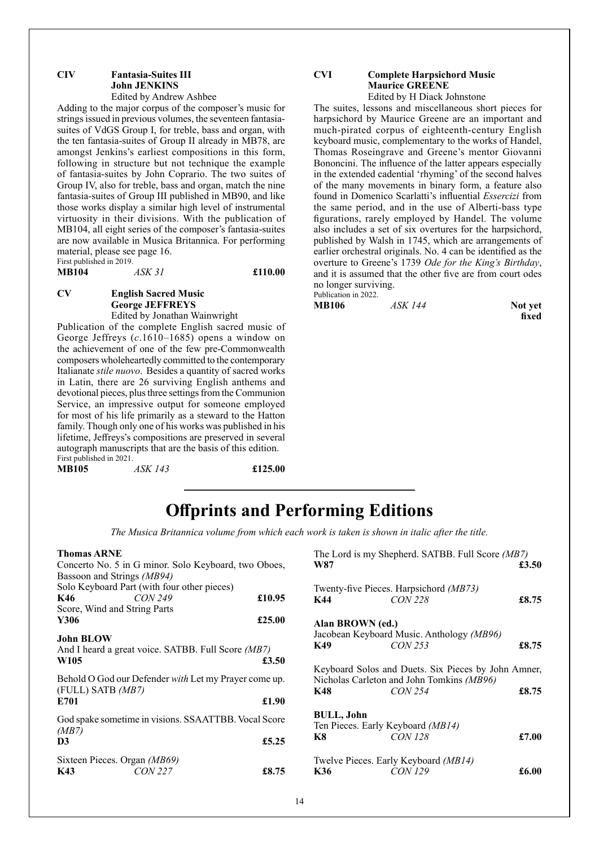#### **CIV Fantasia-Suites III John JENKINS** Edited by Andrew Ashbee

Adding to the major corpus of the composer's music for strings issued in previous volumes, the seventeen fantasiasuites of VdGS Group I, for treble, bass and organ, with the ten fantasia-suites of Group II already in MB78, are amongst Jenkins's earliest compositions in this form, following in structure but not technique the example of fantasia-suites by John Coprario. The two suites of Group IV, also for treble, bass and organ, match the nine fantasia-suites of Group III published in MB90, and like those works display a similar high level of instrumental virtuosity in their divisions. With the publication of MB104, all eight series of the composer's fantasia-suites are now available in Musica Britannica. For performing material, please see page 16. First published in 2019.

**MB104** *ASK 31* **£110.00**

#### **CV English Sacred Music George JEFFREYS** Edited by Jonathan Wainwright

Publication of the complete English sacred music of George Jeffreys (*c*.1610–1685) opens a window on the achievement of one of the few pre-Commonwealth composers wholeheartedly committed to the contemporary Italianate *stile nuovo*. Besides a quantity of sacred works in Latin, there are 26 surviving English anthems and devotional pieces, plus three settings from the Communion Service, an impressive output for someone employed for most of his life primarily as a steward to the Hatton family. Though only one of his works was published in his lifetime, Jeffreys's compositions are preserved in several autograph manuscripts that are the basis of this edition. First published in 2021.

**MB105** *ASK 143* **£125.00**

#### **CVI Complete Harpsichord Music Maurice GREENE** Edited by H Diack Johnstone

The suites, lessons and miscellaneous short pieces for harpsichord by Maurice Greene are an important and much-pirated corpus of eighteenth-century English keyboard music, complementary to the works of Handel, Thomas Roseingrave and Greene's mentor Giovanni Bononcini. The influence of the latter appears especially in the extended cadential 'rhyming' of the second halves of the many movements in binary form, a feature also found in Domenico Scarlatti's influential *Essercizi* from the same period, and in the use of Alberti-bass type figurations, rarely employed by Handel. The volume also includes a set of six overtures for the harpsichord, published by Walsh in 1745, which are arrangements of earlier orchestral originals. No. 4 can be identified as the overture to Greene's 1739 *Ode for the King's Birthday*, and it is assumed that the other five are from court odes no longer surviving. Publication in 2022.

| <b>MB106</b> | ASK 144 | Not yet |
|--------------|---------|---------|
|              |         | fixed   |

## **Offprints and Performing Editions**

*The Musica Britannica volume from which each work is taken is shown in italic after the title.*

#### **Thomas ARNE**

| Concerto No. 5 in G minor. Solo Keyboard, two Oboes,<br>Bassoon and Strings (MB94)<br>Solo Keyboard Part (with four other pieces) |        |
|-----------------------------------------------------------------------------------------------------------------------------------|--------|
| CON <sub>249</sub><br>K46                                                                                                         | £10.95 |
| Score, Wind and String Parts                                                                                                      |        |
| Y306                                                                                                                              | £25.00 |
| <b>John BLOW</b><br>And I heard a great voice. SATBB. Full Score (MB7)<br>W <sub>105</sub>                                        | £3.50  |
| Behold O God our Defender with Let my Prayer come up.<br>(FULL) SATB (MB7)                                                        |        |
| E701                                                                                                                              | £1.90  |
| God spake sometime in visions. SSAATTBB. Vocal Score<br>(MB7)                                                                     |        |
| D <sub>3</sub>                                                                                                                    | £5.25  |
| Sixteen Pieces. Organ (MB69)<br><i>CON 227</i><br>K43                                                                             | £8.75  |

| W87              | The Lord is my Shepherd. SATBB. Full Score (MB7)                                                 | £3.50 |
|------------------|--------------------------------------------------------------------------------------------------|-------|
| K44              | Twenty-five Pieces. Harpsichord (MB73)<br><i>CON 228</i>                                         | £8.75 |
| Alan BROWN (ed.) |                                                                                                  |       |
|                  | Jacobean Keyboard Music. Anthology (MB96)                                                        |       |
| K49              | CON 253                                                                                          | £8.75 |
|                  | Keyboard Solos and Duets. Six Pieces by John Amner,<br>Nicholas Carleton and John Tomkins (MB96) |       |
| K48              | <b>CON 254</b>                                                                                   | £8.75 |
| BULL, John       |                                                                                                  |       |
|                  | Ten Pieces. Early Keyboard (MB14)                                                                |       |
| K8               | <b>CON 128</b>                                                                                   | £7.00 |
|                  | Twelve Pieces. Early Keyboard (MB14)                                                             |       |
| K36              | CON 129                                                                                          | £6.00 |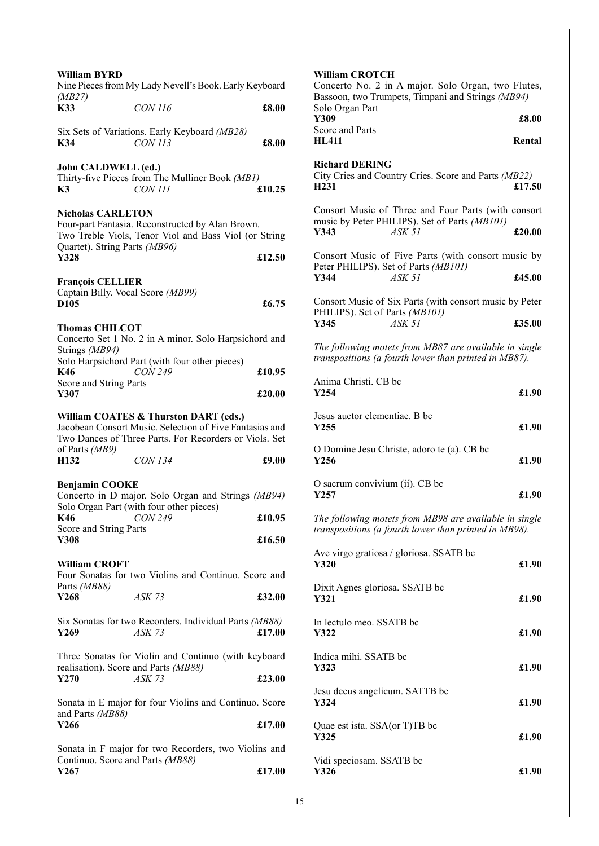| William BYRD                                                                     | Nine Pieces from My Lady Nevell's Book. Early Keyboard                                                                                                     |        |
|----------------------------------------------------------------------------------|------------------------------------------------------------------------------------------------------------------------------------------------------------|--------|
| (MB27)<br><b>K33</b>                                                             | CON 116                                                                                                                                                    | £8.00  |
| K34                                                                              | Six Sets of Variations. Early Keyboard (MB28)<br><b>CON 113</b>                                                                                            | £8.00  |
| John CALDWELL (ed.)<br>K3                                                        | Thirty-five Pieces from The Mulliner Book (MB1)<br><b>CON 111</b>                                                                                          | £10.25 |
| <b>Nicholas CARLETON</b><br>Quartet). String Parts (MB96)<br>Y328                | Four-part Fantasia. Reconstructed by Alan Brown.<br>Two Treble Viols, Tenor Viol and Bass Viol (or String                                                  | £12.50 |
| <b>François CELLIER</b><br>Captain Billy. Vocal Score (MB99)<br>D <sub>105</sub> |                                                                                                                                                            | £6.75  |
| <b>Thomas CHILCOT</b><br>Strings (MB94)                                          | Concerto Set 1 No. 2 in A minor. Solo Harpsichord and                                                                                                      |        |
| K46<br>Score and String Parts                                                    | Solo Harpsichord Part (with four other pieces)<br><b>CON 249</b>                                                                                           | £10.95 |
| Y307                                                                             |                                                                                                                                                            | £20.00 |
| of Parts (MB9)                                                                   | William COATES & Thurston DART (eds.)<br>Jacobean Consort Music. Selection of Five Fantasias and<br>Two Dances of Three Parts. For Recorders or Viols. Set |        |
| H <sub>132</sub>                                                                 | <b>CON 134</b>                                                                                                                                             | £9.00  |
| <b>Benjamin COOKE</b>                                                            | Concerto in D major. Solo Organ and Strings (MB94)<br>Solo Organ Part (with four other pieces)                                                             |        |
| K46<br>Score and String Parts                                                    | <b>CON 249</b>                                                                                                                                             | £10.95 |
| Y308                                                                             |                                                                                                                                                            | £16.50 |
| <b>William CROFT</b><br>Parts (MB88)                                             | Four Sonatas for two Violins and Continuo. Score and                                                                                                       |        |
| Y268                                                                             | ASK 73                                                                                                                                                     | £32.00 |
| Y269                                                                             | Six Sonatas for two Recorders. Individual Parts (MB88)<br>$ASK$ 73                                                                                         | £17.00 |
| Y270                                                                             | Three Sonatas for Violin and Continuo (with keyboard<br>realisation). Score and Parts (MB88)<br>ASK 73                                                     | £23.00 |
| and Parts (MB88)<br>Y266                                                         | Sonata in E major for four Violins and Continuo. Score                                                                                                     | £17.00 |
|                                                                                  | Sonata in F major for two Recorders, two Violins and                                                                                                       |        |
| Continuo. Score and Parts (MB88)<br>Y267                                         |                                                                                                                                                            | £17.00 |

| <b>William CROTCH</b><br>Concerto No. 2 in A major. Solo Organ, two Flutes,<br>Bassoon, two Trumpets, Timpani and Strings (MB94)<br>Solo Organ Part<br>Y309<br>Score and Parts<br><b>HL411</b> | £8.00<br>Rental |  |
|------------------------------------------------------------------------------------------------------------------------------------------------------------------------------------------------|-----------------|--|
| <b>Richard DERING</b><br>City Cries and Country Cries. Score and Parts (MB22)<br>H <sub>231</sub>                                                                                              | £17.50          |  |
| Consort Music of Three and Four Parts (with consort<br>music by Peter PHILIPS). Set of Parts (MB101)<br>ASK 51<br>Y343                                                                         | £20.00          |  |
| Consort Music of Five Parts (with consort music by<br>Peter PHILIPS). Set of Parts (MB101)<br>Y344<br>ASK 51                                                                                   | £45.00          |  |
| Consort Music of Six Parts (with consort music by Peter<br>PHILIPS). Set of Parts (MB101)<br>Y345<br>ASK 51                                                                                    | £35.00          |  |
| The following motets from MB87 are available in single<br>transpositions (a fourth lower than printed in MB87).                                                                                |                 |  |
| Anima Christi. CB bc<br>Y254                                                                                                                                                                   | £1.90           |  |
| Jesus auctor clementiae. B bc<br>Y255                                                                                                                                                          | £1.90           |  |
| O Domine Jesu Christe, adoro te (a). CB bc<br>Y256                                                                                                                                             | £1.90           |  |
| O sacrum convivium (ii). CB bc<br>Y257                                                                                                                                                         | £1.90           |  |
| The following motets from MB98 are available in single<br>transpositions (a fourth lower than printed in MB98).                                                                                |                 |  |
| Ave virgo gratiosa / gloriosa. SSATB bc<br>Y320                                                                                                                                                | £1.90           |  |
| Dixit Agnes gloriosa. SSATB bc<br>Y321                                                                                                                                                         | £1.90           |  |
| In lectulo meo. SSATB bc<br>Y322                                                                                                                                                               | £1.90           |  |
| Indica mihi. SSATB bc<br>Y323                                                                                                                                                                  | £1.90           |  |
| Jesu decus angelicum. SATTB bc<br>Y324                                                                                                                                                         | £1.90           |  |
| Quae est ista. SSA(or T)TB bc<br>Y325                                                                                                                                                          | £1.90           |  |
| Vidi speciosam. SSATB bc                                                                                                                                                                       |                 |  |

**Y326 £1.90**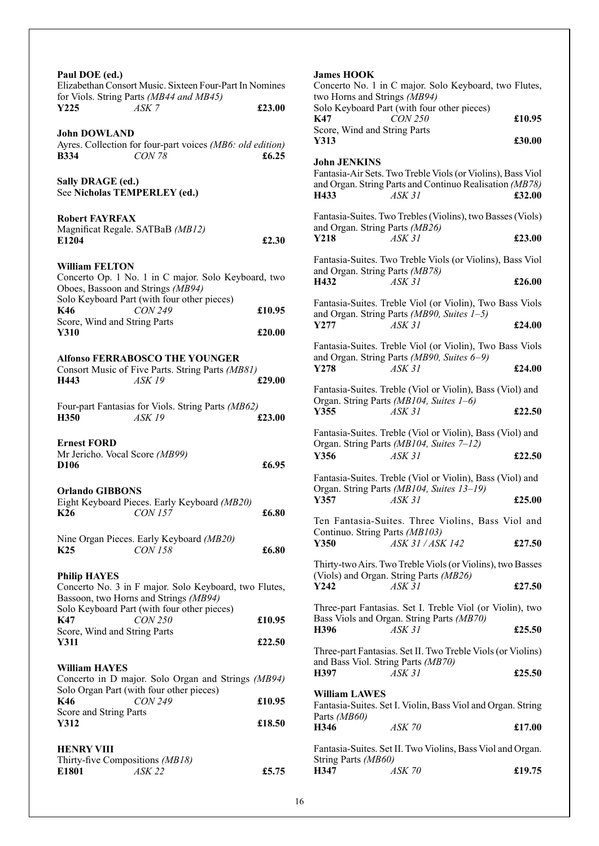| Paul DOE (ed.)<br>Elizabethan Consort Music. Sixteen Four-Part In Nomines<br>for Viols. String Parts (MB44 and MB45)<br>Y225<br>ASK 7<br><b>John DOWLAND</b><br>Ayres. Collection for four-part voices (MB6: old edition) | £23.00           | <b>James HOOK</b><br>Concerto No. 1 in 0<br>two Horns and Strin<br>Solo Keyboard Part<br>K47<br>Score, Wind and Str<br>Y313 |
|---------------------------------------------------------------------------------------------------------------------------------------------------------------------------------------------------------------------------|------------------|-----------------------------------------------------------------------------------------------------------------------------|
| <b>CON 78</b><br><b>B</b> 334<br>Sally DRAGE (ed.)<br>See Nicholas TEMPERLEY (ed.)                                                                                                                                        | £6.25            | <b>John JENKINS</b><br>Fantasia-Air Sets. Tv<br>and Organ. String Pa<br>H433                                                |
| <b>Robert FAYRFAX</b><br>Magnificat Regale. SATBaB (MB12)<br>E1204                                                                                                                                                        | £2.30            | Fantasia-Suites. Two<br>and Organ. String P<br>Y218                                                                         |
| <b>William FELTON</b><br>Concerto Op. 1 No. 1 in C major. Solo Keyboard, two<br>Oboes, Bassoon and Strings (MB94)                                                                                                         |                  | Fantasia-Suites. Two<br>and Organ. String P<br>H432                                                                         |
| Solo Keyboard Part (with four other pieces)<br>K46<br><b>CON 249</b><br>Score, Wind and String Parts<br>Y310                                                                                                              | £10.95<br>£20.00 | Fantasia-Suites. Tre<br>and Organ. String P<br>Y277                                                                         |
| <b>Alfonso FERRABOSCO THE YOUNGER</b><br>Consort Music of Five Parts. String Parts (MB81)<br>H443<br><b>ASK 19</b>                                                                                                        | £29.00           | Fantasia-Suites. Tre<br>and Organ. String P<br>Y278                                                                         |
| Four-part Fantasias for Viols. String Parts (MB62)<br>H350<br><b>ASK 19</b>                                                                                                                                               | £23.00           | Fantasia-Suites. Tre<br>Organ. String Parts<br>Y355<br>£                                                                    |
| <b>Ernest FORD</b><br>Mr Jericho. Vocal Score (MB99)<br>D <sub>106</sub>                                                                                                                                                  | £6.95            | Fantasia-Suites. Tre<br>Organ. String Parts<br>Y356                                                                         |
| <b>Orlando GIBBONS</b><br>Eight Keyboard Pieces. Early Keyboard (MB20)<br>$K26$ CON 157                                                                                                                                   | £6.80            | Fantasia-Suites. Tre<br>Organ. String Parts<br>Y357<br>Ten Fantasia-Suit                                                    |
| Nine Organ Pieces. Early Keyboard (MB20)<br>K <sub>25</sub><br><i>CON 158</i>                                                                                                                                             | £6.80            | Continuo. String Pa<br>Y350                                                                                                 |
| <b>Philip HAYES</b><br>Concerto No. 3 in F major. Solo Keyboard, two Flutes,<br>Bassoon, two Horns and Strings (MB94)<br>Solo Keyboard Part (with four other pieces)<br>K47<br><i>CON 250</i>                             | £10.95           | Thirty-two Airs. Two<br>(Viols) and Organ. S<br>Y242<br>Ł<br>Three-part Fantasia<br>Bass Viols and Orga                     |
| Score, Wind and String Parts<br>Y311                                                                                                                                                                                      | £22.50           | H396<br>Three-part Fantasias                                                                                                |
| <b>William HAYES</b><br>Concerto in D major. Solo Organ and Strings (MB94)                                                                                                                                                |                  | and Bass Viol. Strin<br>H397                                                                                                |
| Solo Organ Part (with four other pieces)<br>K46<br><b>CON 249</b><br>Score and String Parts<br>Y312                                                                                                                       | £10.95<br>£18.50 | <b>William LAWES</b><br>Fantasia-Suites. Set<br>Parts (MB60)<br>H346                                                        |
| <b>HENRY VIII</b><br>Thirty-five Compositions (MB18)<br>E1801<br>ASK 22                                                                                                                                                   | £5.75            | Fantasia-Suites. Set<br>String Parts (MB60)<br>H347                                                                         |
|                                                                                                                                                                                                                           |                  |                                                                                                                             |

| <b>James HOOK</b><br>two Horns and Strings (MB94) | Concerto No. 1 in C major. Solo Keyboard, two Flutes,                                                                            |        |
|---------------------------------------------------|----------------------------------------------------------------------------------------------------------------------------------|--------|
| K47<br>Score, Wind and String Parts               | Solo Keyboard Part (with four other pieces)<br><b>CON 250</b>                                                                    | £10.95 |
| Y313                                              |                                                                                                                                  | £30.00 |
| <b>John JENKINS</b><br>H433                       | Fantasia-Air Sets. Two Treble Viols (or Violins), Bass Viol<br>and Organ. String Parts and Continuo Realisation (MB78)<br>ASK 31 | £32.00 |
| and Organ. String Parts (MB26)<br>Y218            | Fantasia-Suites. Two Trebles (Violins), two Basses (Viols)<br>ASK 31                                                             | £23.00 |
| and Organ. String Parts (MB78)<br>H432            | Fantasia-Suites. Two Treble Viols (or Violins), Bass Viol<br>ASK 31                                                              | £26.00 |
| Y277                                              | Fantasia-Suites. Treble Viol (or Violin), Two Bass Viols<br>and Organ. String Parts (MB90, Suites 1-5)<br>ASK 31                 | £24.00 |
| Y278                                              | Fantasia-Suites. Treble Viol (or Violin), Two Bass Viols<br>and Organ. String Parts (MB90, Suites 6-9)<br>ASK 31                 | £24.00 |
| Y355                                              | Fantasia-Suites. Treble (Viol or Violin), Bass (Viol) and<br>Organ. String Parts (MB104, Suites 1-6)<br>ASK 31                   | £22.50 |
| Y356                                              | Fantasia-Suites. Treble (Viol or Violin), Bass (Viol) and<br>Organ. String Parts (MB104, Suites 7-12)<br>ASK 31                  | £22.50 |
| Y357                                              | Fantasia-Suites. Treble (Viol or Violin), Bass (Viol) and<br>Organ. String Parts (MB104, Suites 13-19)<br>ASK 31                 | £25.00 |
| Continuo. String Parts (MB103)<br>Y350            | Ten Fantasia-Suites. Three Violins, Bass Viol and<br>ASK 31 / ASK 142                                                            | £27.50 |
| Y242                                              | Thirty-two Airs. Two Treble Viols (or Violins), two Basses<br>(Viols) and Organ. String Parts (MB26)<br>ASK 31                   | £27.50 |
| H396                                              | Three-part Fantasias. Set I. Treble Viol (or Violin), two<br>Bass Viols and Organ. String Parts (MB70)<br>ASK 31                 | £25.50 |
| and Bass Viol. String Parts (MB70)<br>H397        | Three-part Fantasias. Set II. Two Treble Viols (or Violins)<br>ASK 31                                                            | £25.50 |
| William LAWES<br>Parts (MB60)                     | Fantasia-Suites. Set I. Violin, Bass Viol and Organ. String                                                                      |        |
| H346<br>String Parts (MB60)                       | ASK 70<br>Fantasia-Suites. Set II. Two Violins, Bass Viol and Organ.                                                             | £17.00 |
| H347                                              | <b>ASK 70</b>                                                                                                                    | £19.75 |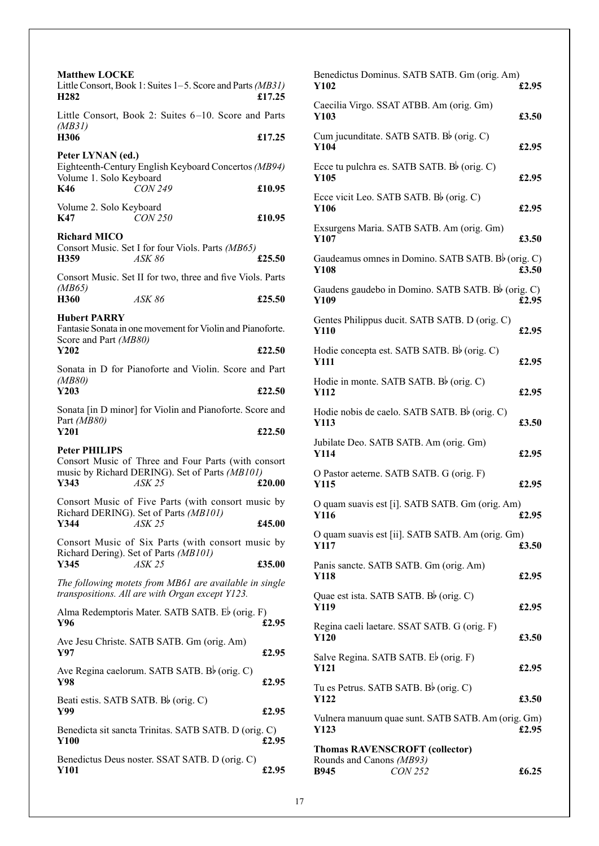| <b>Matthew LOCKE</b>                                                                                                          |        |
|-------------------------------------------------------------------------------------------------------------------------------|--------|
| Little Consort, Book 1: Suites 1–5. Score and Parts (MB31)<br>H <sub>2</sub> 82                                               | £17.25 |
| Little Consort, Book 2: Suites 6-10. Score and Parts<br>(MB31)                                                                |        |
| H306                                                                                                                          | £17.25 |
| Peter LYNAN (ed.)<br>Eighteenth-Century English Keyboard Concertos (MB94)<br>Volume 1. Solo Keyboard                          |        |
| <b>CON 249</b><br>K46                                                                                                         | £10.95 |
| Volume 2. Solo Keyboard<br>K47<br>CON 250                                                                                     | £10.95 |
| <b>Richard MICO</b>                                                                                                           |        |
| Consort Music. Set I for four Viols. Parts (MB65)<br>H359<br>ASK 86                                                           | £25.50 |
| Consort Music. Set II for two, three and five Viols. Parts                                                                    |        |
| (MB65)<br>H360<br>ASK 86                                                                                                      | £25.50 |
| <b>Hubert PARRY</b><br>Fantasie Sonata in one movement for Violin and Pianoforte.                                             |        |
| Score and Part (MB80)<br>Y202                                                                                                 | £22.50 |
| Sonata in D for Pianoforte and Violin. Score and Part                                                                         |        |
| ( <i>MB80</i> )<br>Y203                                                                                                       | £22.50 |
| Sonata [in D minor] for Violin and Pianoforte. Score and                                                                      |        |
| Part (MB80)<br>Y201                                                                                                           | £22.50 |
| <b>Peter PHILIPS</b><br>Consort Music of Three and Four Parts (with consort<br>music by Richard DERING). Set of Parts (MB101) |        |
| Y343<br><b>ASK 25</b>                                                                                                         | £20.00 |
| Consort Music of Five Parts (with consort music by<br>Richard DERING). Set of Parts (MB101)                                   |        |
| <b>ASK 25</b><br>£45.00<br>Y344                                                                                               |        |
| Consort Music of Six Parts (with consort music by                                                                             |        |
| Richard Dering). Set of Parts (MB101)                                                                                         |        |
| Y345<br><i>ASK 25</i>                                                                                                         | £35.00 |
| The following motets from MB61 are available in single<br>transpositions. All are with Organ except Y123.                     |        |
| Alma Redemptoris Mater. SATB SATB. Eb (orig. F)<br>Y96                                                                        | £2.95  |
| Ave Jesu Christe. SATB SATB. Gm (orig. Am)<br>Y97                                                                             | £2.95  |
| Ave Regina caelorum. SATB SATB. Bb (orig. C)<br>Y98                                                                           | £2.95  |
| Beati estis. SATB SATB. Bb (orig. C)<br>Y99                                                                                   | £2.95  |
| Benedicta sit sancta Trinitas. SATB SATB. D (orig. C)<br><b>Y100</b>                                                          | £2.95  |

| Benedictus Dominus. SATB SATB. Gm (orig. Am)<br>Y102              | £2.95 |
|-------------------------------------------------------------------|-------|
| Caecilia Virgo. SSAT ATBB. Am (orig. Gm)<br>Y103                  | £3.50 |
| Cum jucunditate. SATB SATB. Bb (orig. C)<br>Y104                  | £2.95 |
| Ecce tu pulchra es. SATB SATB. B $\flat$ (orig. C)<br>Y105        | £2.95 |
| Ecce vicit Leo. SATB SATB. B $\flat$ (orig. C)<br>Y106            | £2.95 |
| Exsurgens Maria. SATB SATB. Am (orig. Gm)<br>Y107                 | £3.50 |
| Gaudeamus omnes in Domino. SATB SATB. B $\flat$ (orig. C)<br>Y108 | £3.50 |
| Gaudens gaudebo in Domino. SATB SATB. B $\flat$ (orig. C)<br>Y109 | £2.95 |
| Gentes Philippus ducit. SATB SATB. D (orig. C)<br><b>Y110</b>     | £2.95 |
| Hodie concepta est. SATB SATB. Bb (orig. C)<br><b>Y111</b>        | £2.95 |
| Hodie in monte. SATB SATB. Bb (orig. C)<br><b>Y112</b>            | £2.95 |
| Hodie nobis de caelo. SATB SATB. B $\flat$ (orig. C)<br>Y113      | £3.50 |
| Jubilate Deo. SATB SATB. Am (orig. Gm)<br><b>Y114</b>             | £2.95 |
| O Pastor aeterne. SATB SATB. G (orig. F)<br>Y115                  | £2.95 |
| O quam suavis est [i]. SATB SATB. Gm (orig. Am)<br><b>Y116</b>    | £2.95 |
| O quam suavis est [ii]. SATB SATB. Am (orig. Gm)<br>Y117          | £3.50 |
| Panis sancte. SATB SATB. Gm (orig. Am)<br>Y118                    | £2.95 |
| Quae est ista. SATB SATB. Bb (orig. C)<br>Y119                    | £2.95 |
| Regina caeli laetare. SSAT SATB. G (orig. F)<br>Y120              | £3.50 |
| Salve Regina. SATB SATB. Eb (orig. F)<br>Y121                     | £2.95 |
| Tu es Petrus. SATB SATB. Bb (orig. C)<br><b>Y122</b>              | £3.50 |
| Vulnera manuum quae sunt. SATB SATB. Am (orig. Gm)<br>Y123        | £2.95 |
| <b>Thomas RAVENSCROFT (collector)</b>                             |       |
| Rounds and Canons (MB93)<br><b>B945</b><br><b>CON 252</b>         | £6.25 |
|                                                                   |       |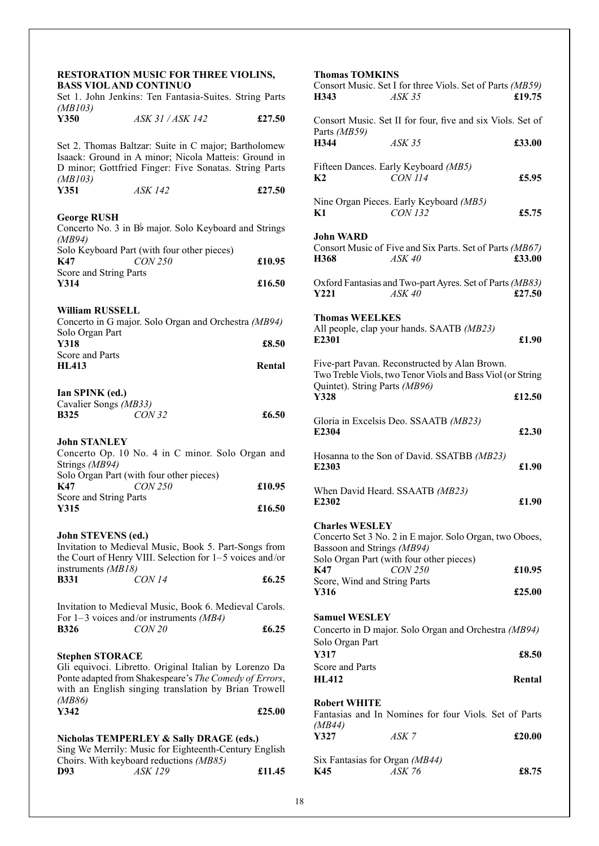#### **RESTORATION MUSIC FOR THREE VIOLINS, BASS VIOL AND CONTINUO**

| <i><b>DINDU</b></i>                                                                  | вить сопит<br>Set 1. John Jenkins: Ten Fantasia-Suites. String Parts                                                                                                  |                 |
|--------------------------------------------------------------------------------------|-----------------------------------------------------------------------------------------------------------------------------------------------------------------------|-----------------|
| (MB103)<br>Y350                                                                      | ASK 31 / ASK 142                                                                                                                                                      | £27.50          |
| (MB103)                                                                              | Set 2. Thomas Baltzar: Suite in C major; Bartholomew<br>Isaack: Ground in A minor; Nicola Matteis: Ground in<br>D minor; Gottfried Finger: Five Sonatas. String Parts |                 |
| Y351                                                                                 | <b>ASK 142</b>                                                                                                                                                        | £27.50          |
| <b>George RUSH</b><br>(MB94)                                                         | Concerto No. 3 in B <sub>p</sub> major. Solo Keyboard and Strings                                                                                                     |                 |
| K47<br>Score and String Parts                                                        | Solo Keyboard Part (with four other pieces)<br><b>CON 250</b>                                                                                                         | £10.95          |
| Y314                                                                                 |                                                                                                                                                                       | £16.50          |
| <b>William RUSSELL</b><br>Solo Organ Part<br>Y318<br>Score and Parts<br><b>HL413</b> | Concerto in G major. Solo Organ and Orchestra (MB94)                                                                                                                  | £8.50<br>Rental |
| Ian SPINK (ed.)<br>Cavalier Songs (MB33)<br><b>B325</b>                              | <b>CON 32</b>                                                                                                                                                         | £6.50           |
| <b>John STANLEY</b><br>Strings (MB94)                                                | Concerto Op. 10 No. 4 in C minor. Solo Organ and                                                                                                                      |                 |
| K47<br>Score and String Parts                                                        | Solo Organ Part (with four other pieces)<br><b>CON 250</b>                                                                                                            | £10.95          |
| Y315                                                                                 |                                                                                                                                                                       | £16.50          |
| John STEVENS (ed.)<br>instruments (MB18)<br><b>B331</b>                              | Invitation to Medieval Music, Book 5. Part-Songs from<br>the Court of Henry VIII. Selection for 1-5 voices and/or<br><b>CON 14</b>                                    | £6.25           |
|                                                                                      | Invitation to Medieval Music, Book 6. Medieval Carols.<br>For $1-3$ voices and/or instruments (MB4)                                                                   |                 |

|             | $1 \text{ or } 1 \text{ or } 0.0003$ and $\text{ or } 0.0001$ and $\text{ or } 0.001$ |       |
|-------------|---------------------------------------------------------------------------------------|-------|
| <b>B326</b> | CON20                                                                                 | £6.25 |

#### **Stephen STORACE**

Gli equivoci. Libretto. Original Italian by Lorenzo Da Ponte adapted from Shakespeare's *The Comedy of Errors*, with an English singing translation by Brian Trowell *(MB86)* **Y342 £25.00**

|     | Nicholas TEMPERLEY & Sally DRAGE (eds.)               |        |
|-----|-------------------------------------------------------|--------|
|     | Sing We Merrily: Music for Eighteenth-Century English |        |
|     | Choirs. With keyboard reductions (MB85)               |        |
| D93 | <i>ASK 129</i>                                        | £11.45 |

| <b>Thomas TOMKINS</b><br>H343         | Consort Music. Set I for three Viols. Set of Parts (MB59)<br>ASK 35                                         | £19.75 |
|---------------------------------------|-------------------------------------------------------------------------------------------------------------|--------|
| Parts (MB59)                          | Consort Music. Set II for four, five and six Viols. Set of                                                  |        |
| H344                                  | $ASK$ 35                                                                                                    | £33.00 |
| K <sub>2</sub>                        | Fifteen Dances. Early Keyboard (MB5)<br><b>CON 114</b>                                                      | £5.95  |
| K1                                    | Nine Organ Pieces. Early Keyboard (MB5)<br><b>CON 132</b>                                                   | £5.75  |
| John WARD                             |                                                                                                             |        |
| H368                                  | Consort Music of Five and Six Parts. Set of Parts (MB67)<br>ASK 40                                          | £33.00 |
| Y221                                  | Oxford Fantasias and Two-part Ayres. Set of Parts (MB83)<br>ASK40                                           | £27.50 |
| <b>Thomas WEELKES</b><br>E2301        | All people, clap your hands. SAATB (MB23)                                                                   | £1.90  |
| Quintet). String Parts (MB96)         | Five-part Pavan. Reconstructed by Alan Brown.<br>Two Treble Viols, two Tenor Viols and Bass Viol (or String |        |
| Y328                                  |                                                                                                             | £12.50 |
| E2304                                 | Gloria in Excelsis Deo. SSAATB (MB23)                                                                       | £2.30  |
| E2303                                 | Hosanna to the Son of David. SSATBB (MB23)                                                                  | £1.90  |
| E2302                                 | When David Heard. SSAATB (MB23)                                                                             | £1.90  |
| <b>Charles WESLEY</b>                 |                                                                                                             |        |
| Bassoon and Strings (MB94)            | Concerto Set 3 No. 2 in E major. Solo Organ, two Oboes,                                                     |        |
| K47                                   | Solo Organ Part (with four other pieces)<br><b>CON 250</b>                                                  | £10.95 |
| Score, Wind and String Parts          |                                                                                                             |        |
| Y316                                  |                                                                                                             | £25.00 |
| <b>Samuel WESLEY</b>                  |                                                                                                             |        |
| Solo Organ Part                       | Concerto in D major. Solo Organ and Orchestra (MB94)                                                        |        |
| Y317                                  |                                                                                                             | £8.50  |
| Score and Parts<br><b>HL412</b>       |                                                                                                             | Rental |
| <b>Robert WHITE</b>                   |                                                                                                             |        |
|                                       | Fantasias and In Nomines for four Viols. Set of Parts                                                       |        |
| (MB44)<br>Y327                        | ASK 7                                                                                                       | £20.00 |
| Six Fantasias for Organ (MB44)<br>K45 | ASK 76                                                                                                      | £8.75  |
|                                       |                                                                                                             |        |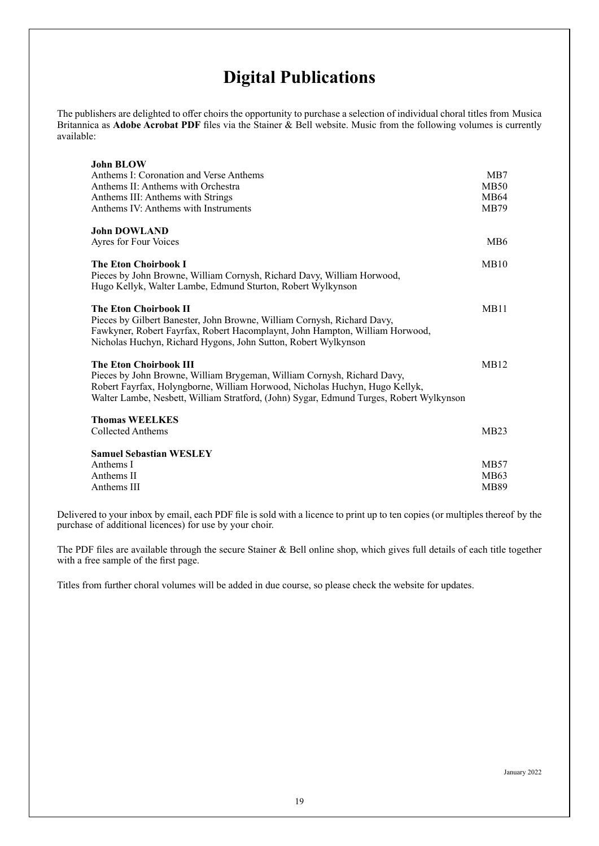## **Digital Publications**

The publishers are delighted to offer choirs the opportunity to purchase a selection of individual choral titles from Musica Britannica as **Adobe Acrobat PDF** files via the Stainer & Bell website. Music from the following volumes is currently available:

| <b>John BLOW</b><br>Anthems I: Coronation and Verse Anthems<br>Anthems II: Anthems with Orchestra<br>Anthems III: Anthems with Strings<br>Anthems IV: Anthems with Instruments                                                                                                     | MB7<br>MB50<br>MB64<br>MB79 |
|------------------------------------------------------------------------------------------------------------------------------------------------------------------------------------------------------------------------------------------------------------------------------------|-----------------------------|
| <b>John DOWLAND</b>                                                                                                                                                                                                                                                                | MB6                         |
| Ayres for Four Voices                                                                                                                                                                                                                                                              |                             |
| <b>The Eton Choirbook I</b><br>Pieces by John Browne, William Cornysh, Richard Davy, William Horwood,<br>Hugo Kellyk, Walter Lambe, Edmund Sturton, Robert Wylkynson                                                                                                               | MB10                        |
| <b>The Eton Choirbook II</b><br>Pieces by Gilbert Banester, John Browne, William Cornysh, Richard Davy,<br>Fawkyner, Robert Fayrfax, Robert Hacomplaynt, John Hampton, William Horwood,<br>Nicholas Huchyn, Richard Hygons, John Sutton, Robert Wylkynson                          | MB11                        |
| <b>The Eton Choirbook III</b><br>Pieces by John Browne, William Brygeman, William Cornysh, Richard Davy,<br>Robert Fayrfax, Holyngborne, William Horwood, Nicholas Huchyn, Hugo Kellyk,<br>Walter Lambe, Nesbett, William Stratford, (John) Sygar, Edmund Turges, Robert Wylkynson | MB12                        |
| <b>Thomas WEELKES</b><br>Collected Anthems                                                                                                                                                                                                                                         | MB23                        |
| <b>Samuel Sebastian WESLEY</b>                                                                                                                                                                                                                                                     |                             |
| Anthems I                                                                                                                                                                                                                                                                          | MB57                        |
| Anthems II                                                                                                                                                                                                                                                                         | MB63                        |
| Anthems III                                                                                                                                                                                                                                                                        | MB89                        |

Delivered to your inbox by email, each PDF file is sold with a licence to print up to ten copies (or multiples thereof by the purchase of additional licences) for use by your choir.

The PDF files are available through the secure Stainer & Bell online shop, which gives full details of each title together with a free sample of the first page.

Titles from further choral volumes will be added in due course, so please check the website for updates.